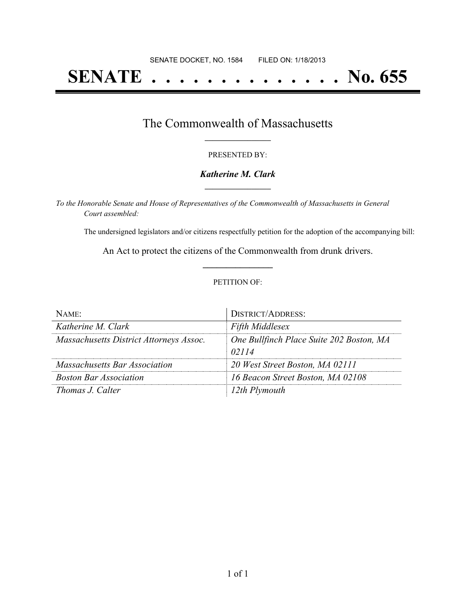# **SENATE . . . . . . . . . . . . . . No. 655**

## The Commonwealth of Massachusetts **\_\_\_\_\_\_\_\_\_\_\_\_\_\_\_\_\_**

#### PRESENTED BY:

#### *Katherine M. Clark* **\_\_\_\_\_\_\_\_\_\_\_\_\_\_\_\_\_**

*To the Honorable Senate and House of Representatives of the Commonwealth of Massachusetts in General Court assembled:*

The undersigned legislators and/or citizens respectfully petition for the adoption of the accompanying bill:

An Act to protect the citizens of the Commonwealth from drunk drivers. **\_\_\_\_\_\_\_\_\_\_\_\_\_\_\_**

#### PETITION OF:

| $N$ AME:                                | DISTRICT/ADDRESS:                        |
|-----------------------------------------|------------------------------------------|
| Katherine M. Clark                      | <b>Fifth Middlesex</b>                   |
| Massachusetts District Attorneys Assoc. | One Bullfinch Place Suite 202 Boston, MA |
|                                         | 02114                                    |
| Massachusetts Bar Association           | 20 West Street Boston, MA 02111          |
| <b>Boston Bar Association</b>           | 16 Beacon Street Boston, MA 02108        |
| <i>Thomas J. Calter</i>                 | 12th Plymouth                            |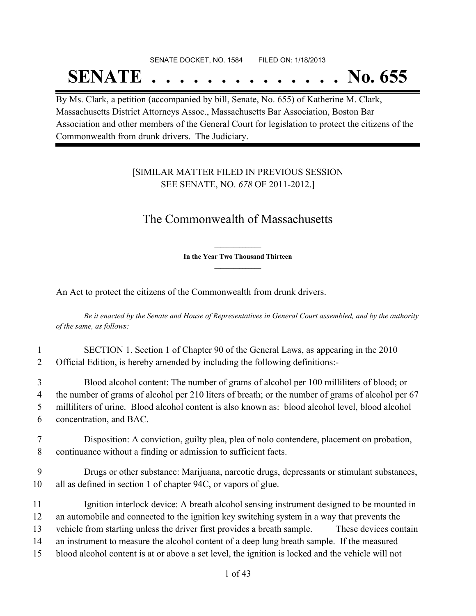# SENATE DOCKET, NO. 1584 FILED ON: 1/18/2013 **SENATE . . . . . . . . . . . . . . No. 655**

By Ms. Clark, a petition (accompanied by bill, Senate, No. 655) of Katherine M. Clark, Massachusetts District Attorneys Assoc., Massachusetts Bar Association, Boston Bar Association and other members of the General Court for legislation to protect the citizens of the Commonwealth from drunk drivers. The Judiciary.

## [SIMILAR MATTER FILED IN PREVIOUS SESSION SEE SENATE, NO. *678* OF 2011-2012.]

# The Commonwealth of Massachusetts

**\_\_\_\_\_\_\_\_\_\_\_\_\_\_\_ In the Year Two Thousand Thirteen \_\_\_\_\_\_\_\_\_\_\_\_\_\_\_**

An Act to protect the citizens of the Commonwealth from drunk drivers.

Be it enacted by the Senate and House of Representatives in General Court assembled, and by the authority *of the same, as follows:*

1 SECTION 1. Section 1 of Chapter 90 of the General Laws, as appearing in the 2010 2 Official Edition, is hereby amended by including the following definitions:-

 Blood alcohol content: The number of grams of alcohol per 100 milliliters of blood; or the number of grams of alcohol per 210 liters of breath; or the number of grams of alcohol per 67 milliliters of urine. Blood alcohol content is also known as: blood alcohol level, blood alcohol concentration, and BAC.

7 Disposition: A conviction, guilty plea, plea of nolo contendere, placement on probation, 8 continuance without a finding or admission to sufficient facts.

9 Drugs or other substance: Marijuana, narcotic drugs, depressants or stimulant substances, 10 all as defined in section 1 of chapter 94C, or vapors of glue.

11 Ignition interlock device: A breath alcohol sensing instrument designed to be mounted in an automobile and connected to the ignition key switching system in a way that prevents the vehicle from starting unless the driver first provides a breath sample. These devices contain an instrument to measure the alcohol content of a deep lung breath sample. If the measured blood alcohol content is at or above a set level, the ignition is locked and the vehicle will not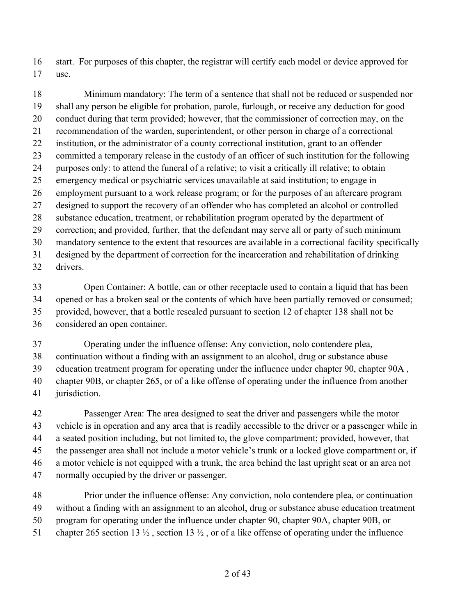start. For purposes of this chapter, the registrar will certify each model or device approved for use.

 Minimum mandatory: The term of a sentence that shall not be reduced or suspended nor shall any person be eligible for probation, parole, furlough, or receive any deduction for good conduct during that term provided; however, that the commissioner of correction may, on the recommendation of the warden, superintendent, or other person in charge of a correctional institution, or the administrator of a county correctional institution, grant to an offender committed a temporary release in the custody of an officer of such institution for the following purposes only: to attend the funeral of a relative; to visit a critically ill relative; to obtain emergency medical or psychiatric services unavailable at said institution; to engage in employment pursuant to a work release program; or for the purposes of an aftercare program designed to support the recovery of an offender who has completed an alcohol or controlled substance education, treatment, or rehabilitation program operated by the department of correction; and provided, further, that the defendant may serve all or party of such minimum mandatory sentence to the extent that resources are available in a correctional facility specifically designed by the department of correction for the incarceration and rehabilitation of drinking drivers.

 Open Container: A bottle, can or other receptacle used to contain a liquid that has been opened or has a broken seal or the contents of which have been partially removed or consumed; provided, however, that a bottle resealed pursuant to section 12 of chapter 138 shall not be considered an open container.

 Operating under the influence offense: Any conviction, nolo contendere plea, continuation without a finding with an assignment to an alcohol, drug or substance abuse education treatment program for operating under the influence under chapter 90, chapter 90A , chapter 90B, or chapter 265, or of a like offense of operating under the influence from another jurisdiction.

 Passenger Area: The area designed to seat the driver and passengers while the motor vehicle is in operation and any area that is readily accessible to the driver or a passenger while in a seated position including, but not limited to, the glove compartment; provided, however, that the passenger area shall not include a motor vehicle's trunk or a locked glove compartment or, if a motor vehicle is not equipped with a trunk, the area behind the last upright seat or an area not normally occupied by the driver or passenger.

 Prior under the influence offense: Any conviction, nolo contendere plea, or continuation without a finding with an assignment to an alcohol, drug or substance abuse education treatment program for operating under the influence under chapter 90, chapter 90A, chapter 90B, or 51 chapter 265 section 13  $\frac{1}{2}$ , section 13  $\frac{1}{2}$ , or of a like offense of operating under the influence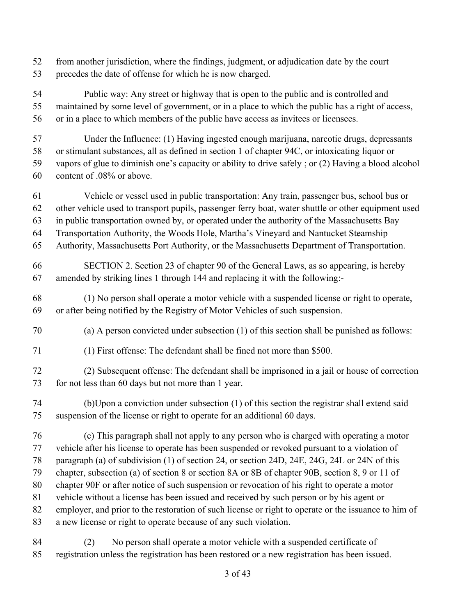from another jurisdiction, where the findings, judgment, or adjudication date by the court precedes the date of offense for which he is now charged.

 Public way: Any street or highway that is open to the public and is controlled and maintained by some level of government, or in a place to which the public has a right of access, or in a place to which members of the public have access as invitees or licensees.

Under the Influence: (1) Having ingested enough marijuana, narcotic drugs, depressants

or stimulant substances, all as defined in section 1 of chapter 94C, or intoxicating liquor or

 vapors of glue to diminish one's capacity or ability to drive safely ; or (2) Having a blood alcohol content of .08% or above.

- Vehicle or vessel used in public transportation: Any train, passenger bus, school bus or other vehicle used to transport pupils, passenger ferry boat, water shuttle or other equipment used in public transportation owned by, or operated under the authority of the Massachusetts Bay
- Transportation Authority, the Woods Hole, Martha's Vineyard and Nantucket Steamship
- Authority, Massachusetts Port Authority, or the Massachusetts Department of Transportation.
- SECTION 2. Section 23 of chapter 90 of the General Laws, as so appearing, is hereby amended by striking lines 1 through 144 and replacing it with the following:-
- (1) No person shall operate a motor vehicle with a suspended license or right to operate, or after being notified by the Registry of Motor Vehicles of such suspension.
- (a) A person convicted under subsection (1) of this section shall be punished as follows:
- (1) First offense: The defendant shall be fined not more than \$500.
- (2) Subsequent offense: The defendant shall be imprisoned in a jail or house of correction for not less than 60 days but not more than 1 year.
- (b)Upon a conviction under subsection (1) of this section the registrar shall extend said suspension of the license or right to operate for an additional 60 days.
- (c) This paragraph shall not apply to any person who is charged with operating a motor vehicle after his license to operate has been suspended or revoked pursuant to a violation of paragraph (a) of subdivision (1) of section 24, or section 24D, 24E, 24G, 24L or 24N of this chapter, subsection (a) of section 8 or section 8A or 8B of chapter 90B, section 8, 9 or 11 of chapter 90F or after notice of such suspension or revocation of his right to operate a motor vehicle without a license has been issued and received by such person or by his agent or employer, and prior to the restoration of such license or right to operate or the issuance to him of a new license or right to operate because of any such violation.
- (2) No person shall operate a motor vehicle with a suspended certificate of registration unless the registration has been restored or a new registration has been issued.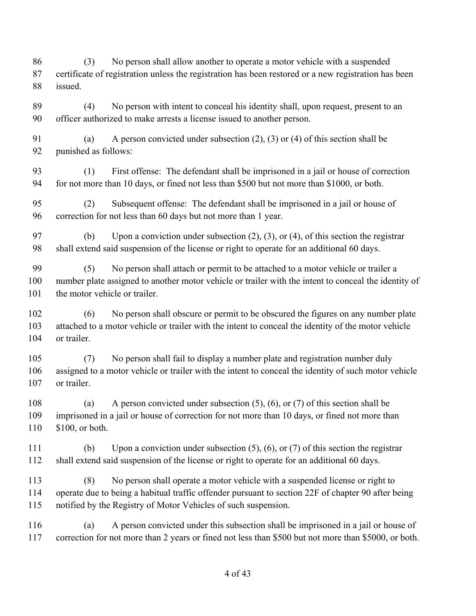(3) No person shall allow another to operate a motor vehicle with a suspended certificate of registration unless the registration has been restored or a new registration has been issued. (4) No person with intent to conceal his identity shall, upon request, present to an officer authorized to make arrests a license issued to another person. (a) A person convicted under subsection (2), (3) or (4) of this section shall be punished as follows: (1) First offense: The defendant shall be imprisoned in a jail or house of correction for not more than 10 days, or fined not less than \$500 but not more than \$1000, or both. (2) Subsequent offense: The defendant shall be imprisoned in a jail or house of correction for not less than 60 days but not more than 1 year. (b) Upon a conviction under subsection (2), (3), or (4), of this section the registrar shall extend said suspension of the license or right to operate for an additional 60 days. (5) No person shall attach or permit to be attached to a motor vehicle or trailer a number plate assigned to another motor vehicle or trailer with the intent to conceal the identity of 101 the motor vehicle or trailer. (6) No person shall obscure or permit to be obscured the figures on any number plate attached to a motor vehicle or trailer with the intent to conceal the identity of the motor vehicle or trailer. (7) No person shall fail to display a number plate and registration number duly assigned to a motor vehicle or trailer with the intent to conceal the identity of such motor vehicle or trailer. (a) A person convicted under subsection (5), (6), or (7) of this section shall be imprisoned in a jail or house of correction for not more than 10 days, or fined not more than \$100, or both. (b) Upon a conviction under subsection (5), (6), or (7) of this section the registrar shall extend said suspension of the license or right to operate for an additional 60 days. (8) No person shall operate a motor vehicle with a suspended license or right to operate due to being a habitual traffic offender pursuant to section 22F of chapter 90 after being notified by the Registry of Motor Vehicles of such suspension. (a) A person convicted under this subsection shall be imprisoned in a jail or house of correction for not more than 2 years or fined not less than \$500 but not more than \$5000, or both.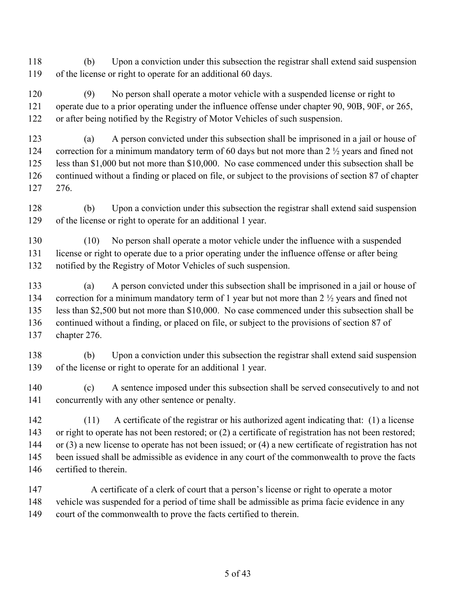(b) Upon a conviction under this subsection the registrar shall extend said suspension of the license or right to operate for an additional 60 days.

 (9) No person shall operate a motor vehicle with a suspended license or right to operate due to a prior operating under the influence offense under chapter 90, 90B, 90F, or 265, or after being notified by the Registry of Motor Vehicles of such suspension.

 (a) A person convicted under this subsection shall be imprisoned in a jail or house of correction for a minimum mandatory term of 60 days but not more than 2 ½ years and fined not less than \$1,000 but not more than \$10,000. No case commenced under this subsection shall be continued without a finding or placed on file, or subject to the provisions of section 87 of chapter 276.

 (b) Upon a conviction under this subsection the registrar shall extend said suspension of the license or right to operate for an additional 1 year.

 (10) No person shall operate a motor vehicle under the influence with a suspended license or right to operate due to a prior operating under the influence offense or after being notified by the Registry of Motor Vehicles of such suspension.

 (a) A person convicted under this subsection shall be imprisoned in a jail or house of 134 correction for a minimum mandatory term of 1 year but not more than 2  $\frac{1}{2}$  years and fined not less than \$2,500 but not more than \$10,000. No case commenced under this subsection shall be continued without a finding, or placed on file, or subject to the provisions of section 87 of chapter 276.

 (b) Upon a conviction under this subsection the registrar shall extend said suspension of the license or right to operate for an additional 1 year.

 (c) A sentence imposed under this subsection shall be served consecutively to and not concurrently with any other sentence or penalty.

 (11) A certificate of the registrar or his authorized agent indicating that: (1) a license 143 or right to operate has not been restored; or (2) a certificate of registration has not been restored; or (3) a new license to operate has not been issued; or (4) a new certificate of registration has not been issued shall be admissible as evidence in any court of the commonwealth to prove the facts certified to therein.

147 A certificate of a clerk of court that a person's license or right to operate a motor vehicle was suspended for a period of time shall be admissible as prima facie evidence in any court of the commonwealth to prove the facts certified to therein.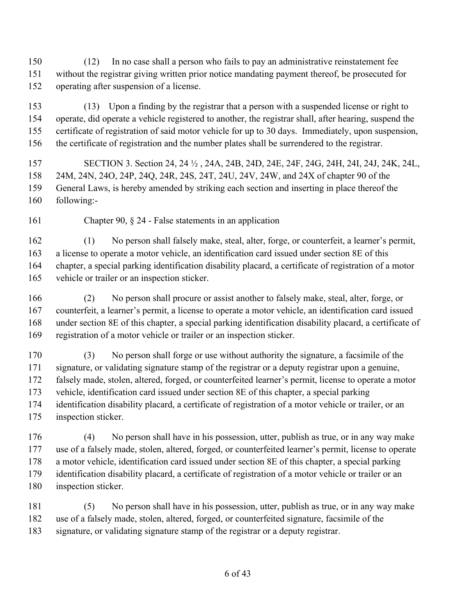(12) In no case shall a person who fails to pay an administrative reinstatement fee without the registrar giving written prior notice mandating payment thereof, be prosecuted for operating after suspension of a license.

 (13) Upon a finding by the registrar that a person with a suspended license or right to operate, did operate a vehicle registered to another, the registrar shall, after hearing, suspend the certificate of registration of said motor vehicle for up to 30 days. Immediately, upon suspension, the certificate of registration and the number plates shall be surrendered to the registrar.

 SECTION 3. Section 24, 24 ½ , 24A, 24B, 24D, 24E, 24F, 24G, 24H, 24I, 24J, 24K, 24L, 24M, 24N, 24O, 24P, 24Q, 24R, 24S, 24T, 24U, 24V, 24W, and 24X of chapter 90 of the General Laws, is hereby amended by striking each section and inserting in place thereof the following:-

Chapter 90, § 24 - False statements in an application

 (1) No person shall falsely make, steal, alter, forge, or counterfeit, a learner's permit, a license to operate a motor vehicle, an identification card issued under section 8E of this chapter, a special parking identification disability placard, a certificate of registration of a motor vehicle or trailer or an inspection sticker.

 (2) No person shall procure or assist another to falsely make, steal, alter, forge, or counterfeit, a learner's permit, a license to operate a motor vehicle, an identification card issued under section 8E of this chapter, a special parking identification disability placard, a certificate of registration of a motor vehicle or trailer or an inspection sticker.

 (3) No person shall forge or use without authority the signature, a facsimile of the signature, or validating signature stamp of the registrar or a deputy registrar upon a genuine, falsely made, stolen, altered, forged, or counterfeited learner's permit, license to operate a motor vehicle, identification card issued under section 8E of this chapter, a special parking identification disability placard, a certificate of registration of a motor vehicle or trailer, or an inspection sticker.

 (4) No person shall have in his possession, utter, publish as true, or in any way make use of a falsely made, stolen, altered, forged, or counterfeited learner's permit, license to operate a motor vehicle, identification card issued under section 8E of this chapter, a special parking identification disability placard, a certificate of registration of a motor vehicle or trailer or an inspection sticker.

 (5) No person shall have in his possession, utter, publish as true, or in any way make use of a falsely made, stolen, altered, forged, or counterfeited signature, facsimile of the signature, or validating signature stamp of the registrar or a deputy registrar.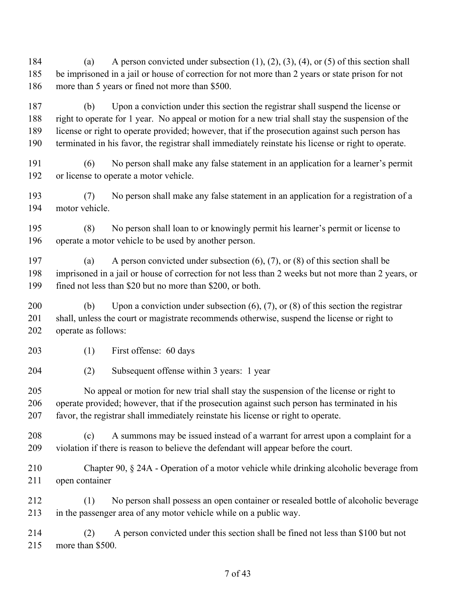184 (a) A person convicted under subsection  $(1)$ ,  $(2)$ ,  $(3)$ ,  $(4)$ , or  $(5)$  of this section shall be imprisoned in a jail or house of correction for not more than 2 years or state prison for not more than 5 years or fined not more than \$500.

 (b) Upon a conviction under this section the registrar shall suspend the license or right to operate for 1 year. No appeal or motion for a new trial shall stay the suspension of the license or right to operate provided; however, that if the prosecution against such person has terminated in his favor, the registrar shall immediately reinstate his license or right to operate.

 (6) No person shall make any false statement in an application for a learner's permit or license to operate a motor vehicle.

 (7) No person shall make any false statement in an application for a registration of a motor vehicle.

 (8) No person shall loan to or knowingly permit his learner's permit or license to operate a motor vehicle to be used by another person.

 (a) A person convicted under subsection (6), (7), or (8) of this section shall be imprisoned in a jail or house of correction for not less than 2 weeks but not more than 2 years, or fined not less than \$20 but no more than \$200, or both.

 (b) Upon a conviction under subsection (6), (7), or (8) of this section the registrar shall, unless the court or magistrate recommends otherwise, suspend the license or right to operate as follows:

(1) First offense: 60 days

(2) Subsequent offense within 3 years: 1 year

 No appeal or motion for new trial shall stay the suspension of the license or right to operate provided; however, that if the prosecution against such person has terminated in his favor, the registrar shall immediately reinstate his license or right to operate.

 (c) A summons may be issued instead of a warrant for arrest upon a complaint for a violation if there is reason to believe the defendant will appear before the court.

 Chapter 90, § 24A - Operation of a motor vehicle while drinking alcoholic beverage from open container

 (1) No person shall possess an open container or resealed bottle of alcoholic beverage in the passenger area of any motor vehicle while on a public way.

 (2) A person convicted under this section shall be fined not less than \$100 but not more than \$500.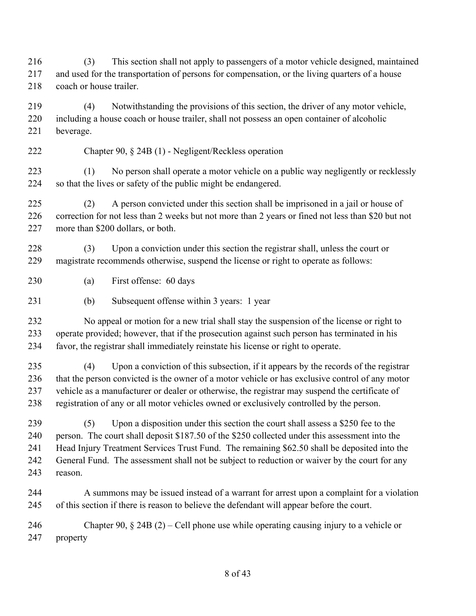(3) This section shall not apply to passengers of a motor vehicle designed, maintained and used for the transportation of persons for compensation, or the living quarters of a house 218 coach or house trailer.

 (4) Notwithstanding the provisions of this section, the driver of any motor vehicle, including a house coach or house trailer, shall not possess an open container of alcoholic beverage.

Chapter 90, § 24B (1) - Negligent/Reckless operation

 (1) No person shall operate a motor vehicle on a public way negligently or recklessly so that the lives or safety of the public might be endangered.

 (2) A person convicted under this section shall be imprisoned in a jail or house of correction for not less than 2 weeks but not more than 2 years or fined not less than \$20 but not more than \$200 dollars, or both.

 (3) Upon a conviction under this section the registrar shall, unless the court or magistrate recommends otherwise, suspend the license or right to operate as follows:

(a) First offense: 60 days

(b) Subsequent offense within 3 years: 1 year

 No appeal or motion for a new trial shall stay the suspension of the license or right to operate provided; however, that if the prosecution against such person has terminated in his favor, the registrar shall immediately reinstate his license or right to operate.

 (4) Upon a conviction of this subsection, if it appears by the records of the registrar that the person convicted is the owner of a motor vehicle or has exclusive control of any motor vehicle as a manufacturer or dealer or otherwise, the registrar may suspend the certificate of registration of any or all motor vehicles owned or exclusively controlled by the person.

 (5) Upon a disposition under this section the court shall assess a \$250 fee to the person. The court shall deposit \$187.50 of the \$250 collected under this assessment into the Head Injury Treatment Services Trust Fund. The remaining \$62.50 shall be deposited into the General Fund. The assessment shall not be subject to reduction or waiver by the court for any reason.

 A summons may be issued instead of a warrant for arrest upon a complaint for a violation of this section if there is reason to believe the defendant will appear before the court.

 Chapter 90, § 24B (2) – Cell phone use while operating causing injury to a vehicle or property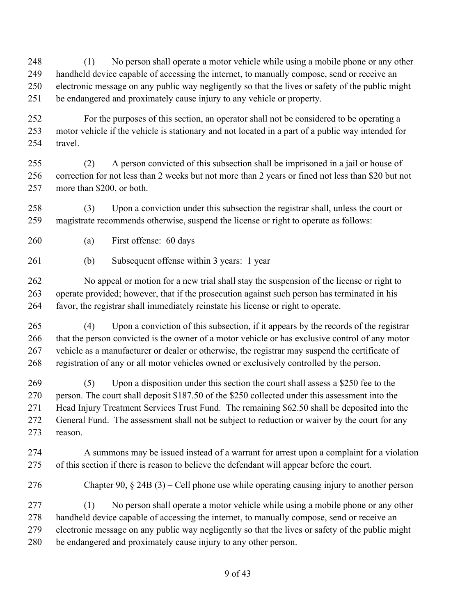(1) No person shall operate a motor vehicle while using a mobile phone or any other handheld device capable of accessing the internet, to manually compose, send or receive an electronic message on any public way negligently so that the lives or safety of the public might be endangered and proximately cause injury to any vehicle or property.

 For the purposes of this section, an operator shall not be considered to be operating a motor vehicle if the vehicle is stationary and not located in a part of a public way intended for travel.

 (2) A person convicted of this subsection shall be imprisoned in a jail or house of correction for not less than 2 weeks but not more than 2 years or fined not less than \$20 but not more than \$200, or both.

 (3) Upon a conviction under this subsection the registrar shall, unless the court or magistrate recommends otherwise, suspend the license or right to operate as follows:

- (a) First offense: 60 days
- (b) Subsequent offense within 3 years: 1 year

 No appeal or motion for a new trial shall stay the suspension of the license or right to operate provided; however, that if the prosecution against such person has terminated in his favor, the registrar shall immediately reinstate his license or right to operate.

 (4) Upon a conviction of this subsection, if it appears by the records of the registrar that the person convicted is the owner of a motor vehicle or has exclusive control of any motor vehicle as a manufacturer or dealer or otherwise, the registrar may suspend the certificate of registration of any or all motor vehicles owned or exclusively controlled by the person.

 (5) Upon a disposition under this section the court shall assess a \$250 fee to the person. The court shall deposit \$187.50 of the \$250 collected under this assessment into the Head Injury Treatment Services Trust Fund. The remaining \$62.50 shall be deposited into the General Fund. The assessment shall not be subject to reduction or waiver by the court for any reason.

 A summons may be issued instead of a warrant for arrest upon a complaint for a violation of this section if there is reason to believe the defendant will appear before the court.

Chapter 90, § 24B (3) – Cell phone use while operating causing injury to another person

 (1) No person shall operate a motor vehicle while using a mobile phone or any other handheld device capable of accessing the internet, to manually compose, send or receive an electronic message on any public way negligently so that the lives or safety of the public might be endangered and proximately cause injury to any other person.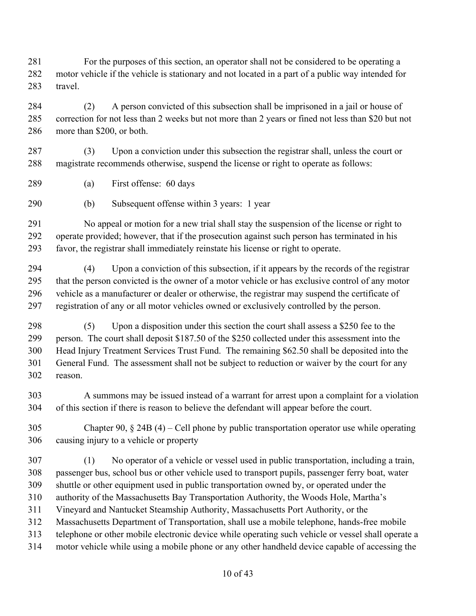For the purposes of this section, an operator shall not be considered to be operating a motor vehicle if the vehicle is stationary and not located in a part of a public way intended for travel.

 (2) A person convicted of this subsection shall be imprisoned in a jail or house of correction for not less than 2 weeks but not more than 2 years or fined not less than \$20 but not more than \$200, or both.

 (3) Upon a conviction under this subsection the registrar shall, unless the court or magistrate recommends otherwise, suspend the license or right to operate as follows:

- (a) First offense: 60 days
- (b) Subsequent offense within 3 years: 1 year

 No appeal or motion for a new trial shall stay the suspension of the license or right to operate provided; however, that if the prosecution against such person has terminated in his favor, the registrar shall immediately reinstate his license or right to operate.

 (4) Upon a conviction of this subsection, if it appears by the records of the registrar that the person convicted is the owner of a motor vehicle or has exclusive control of any motor vehicle as a manufacturer or dealer or otherwise, the registrar may suspend the certificate of registration of any or all motor vehicles owned or exclusively controlled by the person.

 (5) Upon a disposition under this section the court shall assess a \$250 fee to the person. The court shall deposit \$187.50 of the \$250 collected under this assessment into the Head Injury Treatment Services Trust Fund. The remaining \$62.50 shall be deposited into the General Fund. The assessment shall not be subject to reduction or waiver by the court for any reason.

 A summons may be issued instead of a warrant for arrest upon a complaint for a violation of this section if there is reason to believe the defendant will appear before the court.

 Chapter 90, § 24B (4) – Cell phone by public transportation operator use while operating causing injury to a vehicle or property

 (1) No operator of a vehicle or vessel used in public transportation, including a train, passenger bus, school bus or other vehicle used to transport pupils, passenger ferry boat, water shuttle or other equipment used in public transportation owned by, or operated under the authority of the Massachusetts Bay Transportation Authority, the Woods Hole, Martha's Vineyard and Nantucket Steamship Authority, Massachusetts Port Authority, or the Massachusetts Department of Transportation, shall use a mobile telephone, hands-free mobile telephone or other mobile electronic device while operating such vehicle or vessel shall operate a motor vehicle while using a mobile phone or any other handheld device capable of accessing the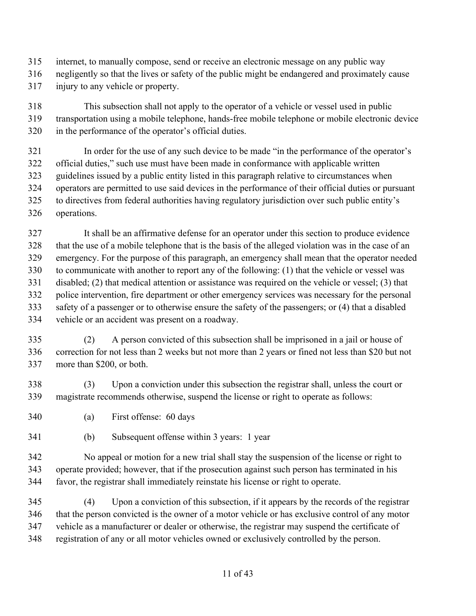- internet, to manually compose, send or receive an electronic message on any public way
- negligently so that the lives or safety of the public might be endangered and proximately cause
- injury to any vehicle or property.

 This subsection shall not apply to the operator of a vehicle or vessel used in public transportation using a mobile telephone, hands-free mobile telephone or mobile electronic device in the performance of the operator's official duties.

 In order for the use of any such device to be made "in the performance of the operator's official duties," such use must have been made in conformance with applicable written guidelines issued by a public entity listed in this paragraph relative to circumstances when operators are permitted to use said devices in the performance of their official duties or pursuant to directives from federal authorities having regulatory jurisdiction over such public entity's operations.

 It shall be an affirmative defense for an operator under this section to produce evidence that the use of a mobile telephone that is the basis of the alleged violation was in the case of an emergency. For the purpose of this paragraph, an emergency shall mean that the operator needed to communicate with another to report any of the following: (1) that the vehicle or vessel was disabled; (2) that medical attention or assistance was required on the vehicle or vessel; (3) that police intervention, fire department or other emergency services was necessary for the personal safety of a passenger or to otherwise ensure the safety of the passengers; or (4) that a disabled vehicle or an accident was present on a roadway.

 (2) A person convicted of this subsection shall be imprisoned in a jail or house of correction for not less than 2 weeks but not more than 2 years or fined not less than \$20 but not more than \$200, or both.

 (3) Upon a conviction under this subsection the registrar shall, unless the court or magistrate recommends otherwise, suspend the license or right to operate as follows:

- (a) First offense: 60 days
- (b) Subsequent offense within 3 years: 1 year

 No appeal or motion for a new trial shall stay the suspension of the license or right to operate provided; however, that if the prosecution against such person has terminated in his favor, the registrar shall immediately reinstate his license or right to operate.

 (4) Upon a conviction of this subsection, if it appears by the records of the registrar that the person convicted is the owner of a motor vehicle or has exclusive control of any motor vehicle as a manufacturer or dealer or otherwise, the registrar may suspend the certificate of registration of any or all motor vehicles owned or exclusively controlled by the person.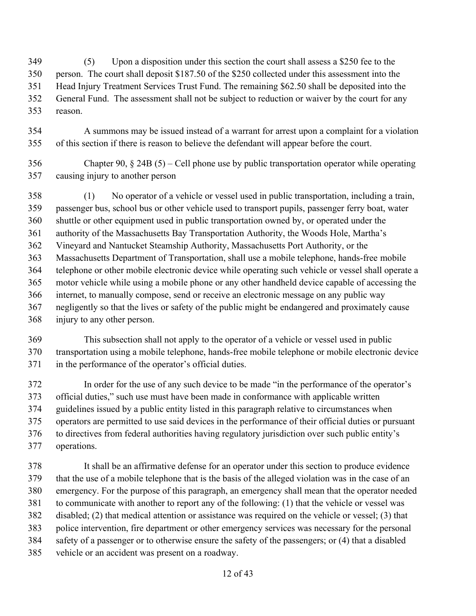(5) Upon a disposition under this section the court shall assess a \$250 fee to the person. The court shall deposit \$187.50 of the \$250 collected under this assessment into the Head Injury Treatment Services Trust Fund. The remaining \$62.50 shall be deposited into the General Fund. The assessment shall not be subject to reduction or waiver by the court for any reason.

- A summons may be issued instead of a warrant for arrest upon a complaint for a violation of this section if there is reason to believe the defendant will appear before the court.
- Chapter 90, § 24B (5) Cell phone use by public transportation operator while operating causing injury to another person
- (1) No operator of a vehicle or vessel used in public transportation, including a train, passenger bus, school bus or other vehicle used to transport pupils, passenger ferry boat, water shuttle or other equipment used in public transportation owned by, or operated under the authority of the Massachusetts Bay Transportation Authority, the Woods Hole, Martha's Vineyard and Nantucket Steamship Authority, Massachusetts Port Authority, or the Massachusetts Department of Transportation, shall use a mobile telephone, hands-free mobile telephone or other mobile electronic device while operating such vehicle or vessel shall operate a motor vehicle while using a mobile phone or any other handheld device capable of accessing the internet, to manually compose, send or receive an electronic message on any public way negligently so that the lives or safety of the public might be endangered and proximately cause injury to any other person.
- This subsection shall not apply to the operator of a vehicle or vessel used in public transportation using a mobile telephone, hands-free mobile telephone or mobile electronic device in the performance of the operator's official duties.
- In order for the use of any such device to be made "in the performance of the operator's official duties," such use must have been made in conformance with applicable written guidelines issued by a public entity listed in this paragraph relative to circumstances when operators are permitted to use said devices in the performance of their official duties or pursuant to directives from federal authorities having regulatory jurisdiction over such public entity's operations.
- It shall be an affirmative defense for an operator under this section to produce evidence that the use of a mobile telephone that is the basis of the alleged violation was in the case of an emergency. For the purpose of this paragraph, an emergency shall mean that the operator needed to communicate with another to report any of the following: (1) that the vehicle or vessel was disabled; (2) that medical attention or assistance was required on the vehicle or vessel; (3) that police intervention, fire department or other emergency services was necessary for the personal safety of a passenger or to otherwise ensure the safety of the passengers; or (4) that a disabled vehicle or an accident was present on a roadway.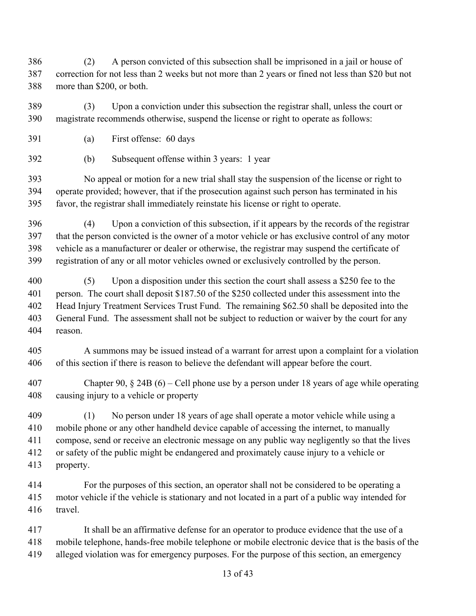(2) A person convicted of this subsection shall be imprisoned in a jail or house of correction for not less than 2 weeks but not more than 2 years or fined not less than \$20 but not more than \$200, or both.

 (3) Upon a conviction under this subsection the registrar shall, unless the court or magistrate recommends otherwise, suspend the license or right to operate as follows:

- (a) First offense: 60 days
- (b) Subsequent offense within 3 years: 1 year

 No appeal or motion for a new trial shall stay the suspension of the license or right to operate provided; however, that if the prosecution against such person has terminated in his favor, the registrar shall immediately reinstate his license or right to operate.

 (4) Upon a conviction of this subsection, if it appears by the records of the registrar that the person convicted is the owner of a motor vehicle or has exclusive control of any motor vehicle as a manufacturer or dealer or otherwise, the registrar may suspend the certificate of registration of any or all motor vehicles owned or exclusively controlled by the person.

 (5) Upon a disposition under this section the court shall assess a \$250 fee to the person. The court shall deposit \$187.50 of the \$250 collected under this assessment into the Head Injury Treatment Services Trust Fund. The remaining \$62.50 shall be deposited into the General Fund. The assessment shall not be subject to reduction or waiver by the court for any reason.

 A summons may be issued instead of a warrant for arrest upon a complaint for a violation of this section if there is reason to believe the defendant will appear before the court.

 Chapter 90, § 24B (6) – Cell phone use by a person under 18 years of age while operating causing injury to a vehicle or property

 (1) No person under 18 years of age shall operate a motor vehicle while using a mobile phone or any other handheld device capable of accessing the internet, to manually compose, send or receive an electronic message on any public way negligently so that the lives or safety of the public might be endangered and proximately cause injury to a vehicle or property.

 For the purposes of this section, an operator shall not be considered to be operating a motor vehicle if the vehicle is stationary and not located in a part of a public way intended for travel.

 It shall be an affirmative defense for an operator to produce evidence that the use of a mobile telephone, hands-free mobile telephone or mobile electronic device that is the basis of the alleged violation was for emergency purposes. For the purpose of this section, an emergency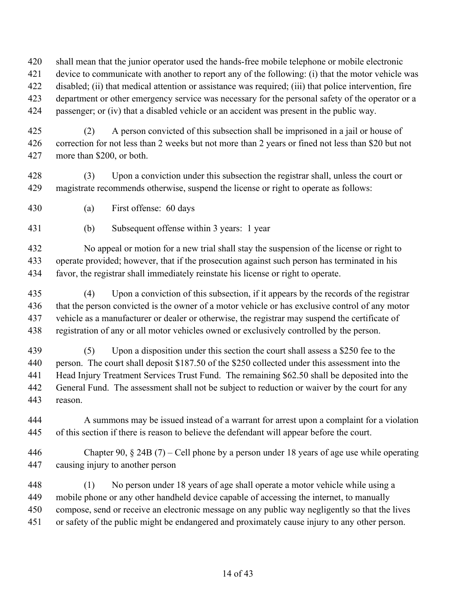shall mean that the junior operator used the hands-free mobile telephone or mobile electronic

- device to communicate with another to report any of the following: (i) that the motor vehicle was
- disabled; (ii) that medical attention or assistance was required; (iii) that police intervention, fire

department or other emergency service was necessary for the personal safety of the operator or a

passenger; or (iv) that a disabled vehicle or an accident was present in the public way.

 (2) A person convicted of this subsection shall be imprisoned in a jail or house of correction for not less than 2 weeks but not more than 2 years or fined not less than \$20 but not more than \$200, or both.

 (3) Upon a conviction under this subsection the registrar shall, unless the court or magistrate recommends otherwise, suspend the license or right to operate as follows:

(a) First offense: 60 days

(b) Subsequent offense within 3 years: 1 year

 No appeal or motion for a new trial shall stay the suspension of the license or right to operate provided; however, that if the prosecution against such person has terminated in his favor, the registrar shall immediately reinstate his license or right to operate.

- (4) Upon a conviction of this subsection, if it appears by the records of the registrar that the person convicted is the owner of a motor vehicle or has exclusive control of any motor vehicle as a manufacturer or dealer or otherwise, the registrar may suspend the certificate of registration of any or all motor vehicles owned or exclusively controlled by the person.
- (5) Upon a disposition under this section the court shall assess a \$250 fee to the person. The court shall deposit \$187.50 of the \$250 collected under this assessment into the Head Injury Treatment Services Trust Fund. The remaining \$62.50 shall be deposited into the General Fund. The assessment shall not be subject to reduction or waiver by the court for any reason.

 A summons may be issued instead of a warrant for arrest upon a complaint for a violation of this section if there is reason to believe the defendant will appear before the court.

- Chapter 90, § 24B (7) Cell phone by a person under 18 years of age use while operating causing injury to another person
- (1) No person under 18 years of age shall operate a motor vehicle while using a mobile phone or any other handheld device capable of accessing the internet, to manually compose, send or receive an electronic message on any public way negligently so that the lives or safety of the public might be endangered and proximately cause injury to any other person.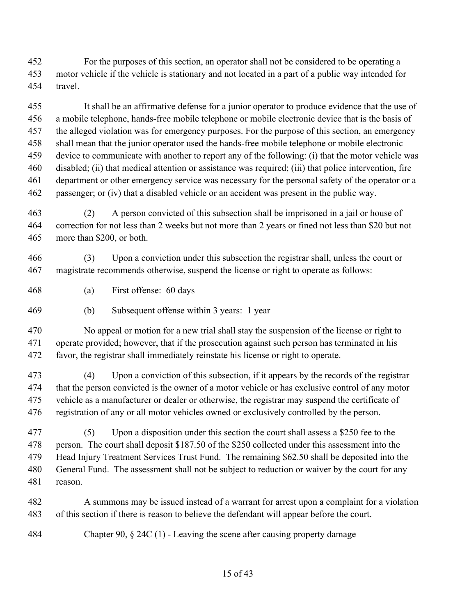For the purposes of this section, an operator shall not be considered to be operating a motor vehicle if the vehicle is stationary and not located in a part of a public way intended for travel.

 It shall be an affirmative defense for a junior operator to produce evidence that the use of a mobile telephone, hands-free mobile telephone or mobile electronic device that is the basis of the alleged violation was for emergency purposes. For the purpose of this section, an emergency shall mean that the junior operator used the hands-free mobile telephone or mobile electronic device to communicate with another to report any of the following: (i) that the motor vehicle was disabled; (ii) that medical attention or assistance was required; (iii) that police intervention, fire department or other emergency service was necessary for the personal safety of the operator or a passenger; or (iv) that a disabled vehicle or an accident was present in the public way.

 (2) A person convicted of this subsection shall be imprisoned in a jail or house of correction for not less than 2 weeks but not more than 2 years or fined not less than \$20 but not more than \$200, or both.

 (3) Upon a conviction under this subsection the registrar shall, unless the court or magistrate recommends otherwise, suspend the license or right to operate as follows:

- (a) First offense: 60 days
- (b) Subsequent offense within 3 years: 1 year

 No appeal or motion for a new trial shall stay the suspension of the license or right to operate provided; however, that if the prosecution against such person has terminated in his favor, the registrar shall immediately reinstate his license or right to operate.

 (4) Upon a conviction of this subsection, if it appears by the records of the registrar that the person convicted is the owner of a motor vehicle or has exclusive control of any motor vehicle as a manufacturer or dealer or otherwise, the registrar may suspend the certificate of registration of any or all motor vehicles owned or exclusively controlled by the person.

 (5) Upon a disposition under this section the court shall assess a \$250 fee to the person. The court shall deposit \$187.50 of the \$250 collected under this assessment into the Head Injury Treatment Services Trust Fund. The remaining \$62.50 shall be deposited into the General Fund. The assessment shall not be subject to reduction or waiver by the court for any reason.

 A summons may be issued instead of a warrant for arrest upon a complaint for a violation of this section if there is reason to believe the defendant will appear before the court.

Chapter 90, § 24C (1) - Leaving the scene after causing property damage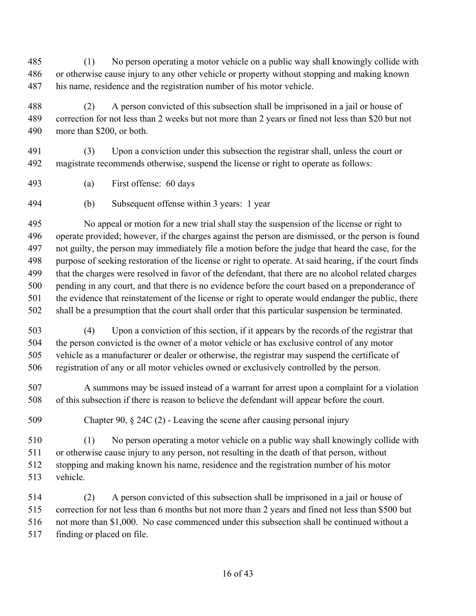(1) No person operating a motor vehicle on a public way shall knowingly collide with or otherwise cause injury to any other vehicle or property without stopping and making known his name, residence and the registration number of his motor vehicle.

 (2) A person convicted of this subsection shall be imprisoned in a jail or house of correction for not less than 2 weeks but not more than 2 years or fined not less than \$20 but not more than \$200, or both.

 (3) Upon a conviction under this subsection the registrar shall, unless the court or magistrate recommends otherwise, suspend the license or right to operate as follows:

- (a) First offense: 60 days
- (b) Subsequent offense within 3 years: 1 year

 No appeal or motion for a new trial shall stay the suspension of the license or right to operate provided; however, if the charges against the person are dismissed, or the person is found not guilty, the person may immediately file a motion before the judge that heard the case, for the purpose of seeking restoration of the license or right to operate. At said hearing, if the court finds that the charges were resolved in favor of the defendant, that there are no alcohol related charges pending in any court, and that there is no evidence before the court based on a preponderance of the evidence that reinstatement of the license or right to operate would endanger the public, there shall be a presumption that the court shall order that this particular suspension be terminated.

 (4) Upon a conviction of this section, if it appears by the records of the registrar that the person convicted is the owner of a motor vehicle or has exclusive control of any motor vehicle as a manufacturer or dealer or otherwise, the registrar may suspend the certificate of registration of any or all motor vehicles owned or exclusively controlled by the person.

 A summons may be issued instead of a warrant for arrest upon a complaint for a violation of this subsection if there is reason to believe the defendant will appear before the court.

Chapter 90, § 24C (2) - Leaving the scene after causing personal injury

 (1) No person operating a motor vehicle on a public way shall knowingly collide with or otherwise cause injury to any person, not resulting in the death of that person, without stopping and making known his name, residence and the registration number of his motor vehicle.

 (2) A person convicted of this subsection shall be imprisoned in a jail or house of correction for not less than 6 months but not more than 2 years and fined not less than \$500 but not more than \$1,000. No case commenced under this subsection shall be continued without a finding or placed on file.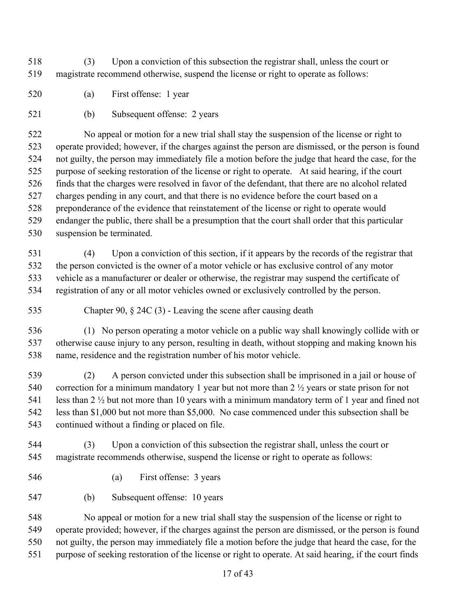(3) Upon a conviction of this subsection the registrar shall, unless the court or magistrate recommend otherwise, suspend the license or right to operate as follows:

- (a) First offense: 1 year
- (b) Subsequent offense: 2 years

 No appeal or motion for a new trial shall stay the suspension of the license or right to operate provided; however, if the charges against the person are dismissed, or the person is found not guilty, the person may immediately file a motion before the judge that heard the case, for the purpose of seeking restoration of the license or right to operate. At said hearing, if the court finds that the charges were resolved in favor of the defendant, that there are no alcohol related charges pending in any court, and that there is no evidence before the court based on a preponderance of the evidence that reinstatement of the license or right to operate would endanger the public, there shall be a presumption that the court shall order that this particular suspension be terminated.

 (4) Upon a conviction of this section, if it appears by the records of the registrar that the person convicted is the owner of a motor vehicle or has exclusive control of any motor vehicle as a manufacturer or dealer or otherwise, the registrar may suspend the certificate of registration of any or all motor vehicles owned or exclusively controlled by the person.

Chapter 90, § 24C (3) - Leaving the scene after causing death

 (1) No person operating a motor vehicle on a public way shall knowingly collide with or otherwise cause injury to any person, resulting in death, without stopping and making known his name, residence and the registration number of his motor vehicle.

 (2) A person convicted under this subsection shall be imprisoned in a jail or house of correction for a minimum mandatory 1 year but not more than 2 ½ years or state prison for not less than 2 ½ but not more than 10 years with a minimum mandatory term of 1 year and fined not less than \$1,000 but not more than \$5,000. No case commenced under this subsection shall be continued without a finding or placed on file.

 (3) Upon a conviction of this subsection the registrar shall, unless the court or magistrate recommends otherwise, suspend the license or right to operate as follows:

(a) First offense: 3 years

(b) Subsequent offense: 10 years

 No appeal or motion for a new trial shall stay the suspension of the license or right to operate provided; however, if the charges against the person are dismissed, or the person is found not guilty, the person may immediately file a motion before the judge that heard the case, for the purpose of seeking restoration of the license or right to operate. At said hearing, if the court finds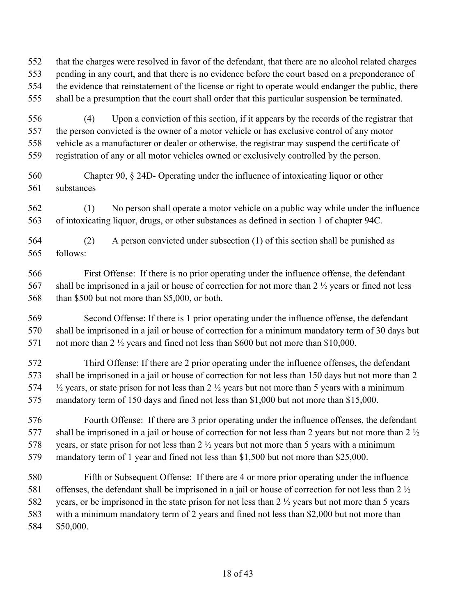that the charges were resolved in favor of the defendant, that there are no alcohol related charges pending in any court, and that there is no evidence before the court based on a preponderance of the evidence that reinstatement of the license or right to operate would endanger the public, there shall be a presumption that the court shall order that this particular suspension be terminated.

 (4) Upon a conviction of this section, if it appears by the records of the registrar that the person convicted is the owner of a motor vehicle or has exclusive control of any motor vehicle as a manufacturer or dealer or otherwise, the registrar may suspend the certificate of registration of any or all motor vehicles owned or exclusively controlled by the person.

 Chapter 90, § 24D- Operating under the influence of intoxicating liquor or other substances

 (1) No person shall operate a motor vehicle on a public way while under the influence of intoxicating liquor, drugs, or other substances as defined in section 1 of chapter 94C.

 (2) A person convicted under subsection (1) of this section shall be punished as follows:

 First Offense: If there is no prior operating under the influence offense, the defendant 567 shall be imprisoned in a jail or house of correction for not more than 2  $\frac{1}{2}$  years or fined not less 568 than \$500 but not more than \$5,000, or both.

 Second Offense: If there is 1 prior operating under the influence offense, the defendant shall be imprisoned in a jail or house of correction for a minimum mandatory term of 30 days but 571 not more than 2  $\frac{1}{2}$  years and fined not less than \$600 but not more than \$10,000.

 Third Offense: If there are 2 prior operating under the influence offenses, the defendant shall be imprisoned in a jail or house of correction for not less than 150 days but not more than 2  $\frac{1}{2}$  years, or state prison for not less than 2  $\frac{1}{2}$  years but not more than 5 years with a minimum mandatory term of 150 days and fined not less than \$1,000 but not more than \$15,000.

 Fourth Offense: If there are 3 prior operating under the influence offenses, the defendant 577 shall be imprisoned in a jail or house of correction for not less than 2 years but not more than 2  $\frac{1}{2}$ 578 years, or state prison for not less than 2  $\frac{1}{2}$  years but not more than 5 years with a minimum mandatory term of 1 year and fined not less than \$1,500 but not more than \$25,000.

 Fifth or Subsequent Offense: If there are 4 or more prior operating under the influence 581 offenses, the defendant shall be imprisoned in a jail or house of correction for not less than 2  $\frac{1}{2}$  years, or be imprisoned in the state prison for not less than 2 ½ years but not more than 5 years with a minimum mandatory term of 2 years and fined not less than \$2,000 but not more than \$50,000.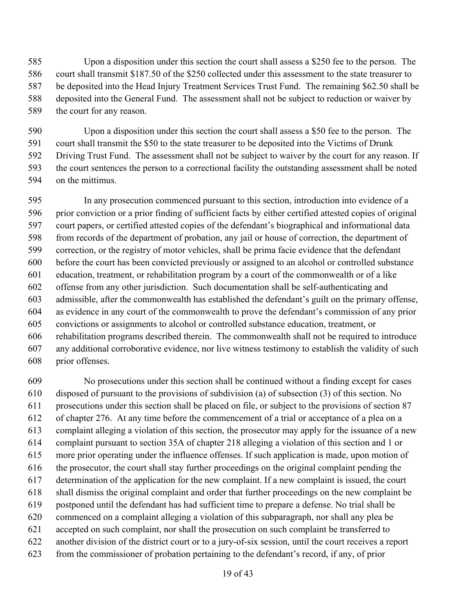Upon a disposition under this section the court shall assess a \$250 fee to the person. The court shall transmit \$187.50 of the \$250 collected under this assessment to the state treasurer to be deposited into the Head Injury Treatment Services Trust Fund. The remaining \$62.50 shall be deposited into the General Fund. The assessment shall not be subject to reduction or waiver by the court for any reason.

 Upon a disposition under this section the court shall assess a \$50 fee to the person. The court shall transmit the \$50 to the state treasurer to be deposited into the Victims of Drunk Driving Trust Fund. The assessment shall not be subject to waiver by the court for any reason. If the court sentences the person to a correctional facility the outstanding assessment shall be noted on the mittimus.

 In any prosecution commenced pursuant to this section, introduction into evidence of a prior conviction or a prior finding of sufficient facts by either certified attested copies of original court papers, or certified attested copies of the defendant's biographical and informational data from records of the department of probation, any jail or house of correction, the department of correction, or the registry of motor vehicles, shall be prima facie evidence that the defendant before the court has been convicted previously or assigned to an alcohol or controlled substance education, treatment, or rehabilitation program by a court of the commonwealth or of a like offense from any other jurisdiction. Such documentation shall be self-authenticating and admissible, after the commonwealth has established the defendant's guilt on the primary offense, as evidence in any court of the commonwealth to prove the defendant's commission of any prior convictions or assignments to alcohol or controlled substance education, treatment, or rehabilitation programs described therein. The commonwealth shall not be required to introduce any additional corroborative evidence, nor live witness testimony to establish the validity of such prior offenses.

 No prosecutions under this section shall be continued without a finding except for cases disposed of pursuant to the provisions of subdivision (a) of subsection (3) of this section. No prosecutions under this section shall be placed on file, or subject to the provisions of section 87 of chapter 276. At any time before the commencement of a trial or acceptance of a plea on a complaint alleging a violation of this section, the prosecutor may apply for the issuance of a new complaint pursuant to section 35A of chapter 218 alleging a violation of this section and 1 or more prior operating under the influence offenses. If such application is made, upon motion of the prosecutor, the court shall stay further proceedings on the original complaint pending the determination of the application for the new complaint. If a new complaint is issued, the court shall dismiss the original complaint and order that further proceedings on the new complaint be postponed until the defendant has had sufficient time to prepare a defense. No trial shall be commenced on a complaint alleging a violation of this subparagraph, nor shall any plea be accepted on such complaint, nor shall the prosecution on such complaint be transferred to another division of the district court or to a jury-of-six session, until the court receives a report from the commissioner of probation pertaining to the defendant's record, if any, of prior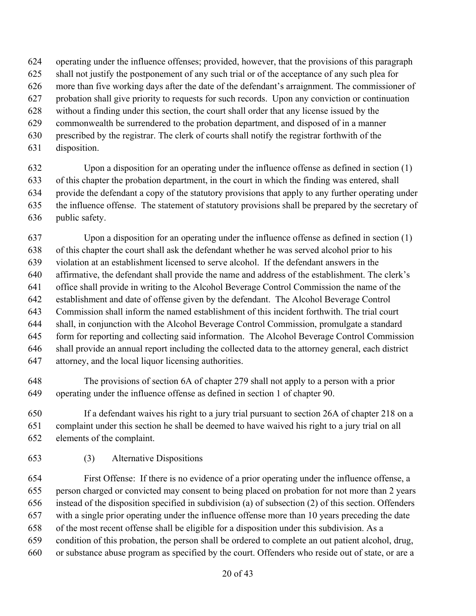- operating under the influence offenses; provided, however, that the provisions of this paragraph
- shall not justify the postponement of any such trial or of the acceptance of any such plea for
- more than five working days after the date of the defendant's arraignment. The commissioner of
- probation shall give priority to requests for such records. Upon any conviction or continuation
- without a finding under this section, the court shall order that any license issued by the
- commonwealth be surrendered to the probation department, and disposed of in a manner
- prescribed by the registrar. The clerk of courts shall notify the registrar forthwith of the
- disposition.

 Upon a disposition for an operating under the influence offense as defined in section (1) of this chapter the probation department, in the court in which the finding was entered, shall provide the defendant a copy of the statutory provisions that apply to any further operating under the influence offense. The statement of statutory provisions shall be prepared by the secretary of public safety.

 Upon a disposition for an operating under the influence offense as defined in section (1) of this chapter the court shall ask the defendant whether he was served alcohol prior to his violation at an establishment licensed to serve alcohol. If the defendant answers in the affirmative, the defendant shall provide the name and address of the establishment. The clerk's office shall provide in writing to the Alcohol Beverage Control Commission the name of the establishment and date of offense given by the defendant. The Alcohol Beverage Control Commission shall inform the named establishment of this incident forthwith. The trial court shall, in conjunction with the Alcohol Beverage Control Commission, promulgate a standard form for reporting and collecting said information. The Alcohol Beverage Control Commission shall provide an annual report including the collected data to the attorney general, each district attorney, and the local liquor licensing authorities.

 The provisions of section 6A of chapter 279 shall not apply to a person with a prior operating under the influence offense as defined in section 1 of chapter 90.

 If a defendant waives his right to a jury trial pursuant to section 26A of chapter 218 on a complaint under this section he shall be deemed to have waived his right to a jury trial on all elements of the complaint.

(3) Alternative Dispositions

 First Offense: If there is no evidence of a prior operating under the influence offense, a person charged or convicted may consent to being placed on probation for not more than 2 years instead of the disposition specified in subdivision (a) of subsection (2) of this section. Offenders with a single prior operating under the influence offense more than 10 years preceding the date of the most recent offense shall be eligible for a disposition under this subdivision. As a condition of this probation, the person shall be ordered to complete an out patient alcohol, drug, or substance abuse program as specified by the court. Offenders who reside out of state, or are a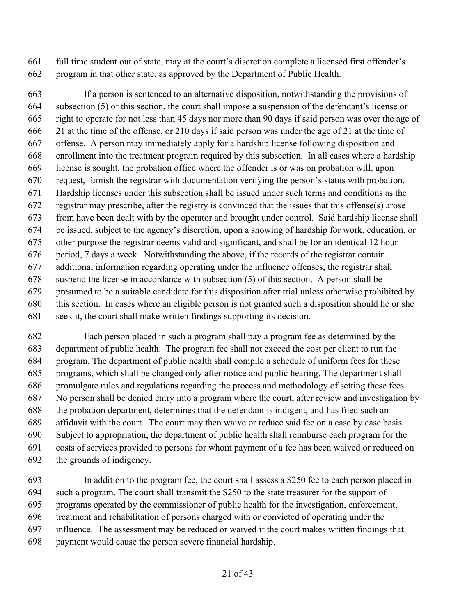full time student out of state, may at the court's discretion complete a licensed first offender's program in that other state, as approved by the Department of Public Health.

 If a person is sentenced to an alternative disposition, notwithstanding the provisions of subsection (5) of this section, the court shall impose a suspension of the defendant's license or right to operate for not less than 45 days nor more than 90 days if said person was over the age of 21 at the time of the offense, or 210 days if said person was under the age of 21 at the time of offense. A person may immediately apply for a hardship license following disposition and enrollment into the treatment program required by this subsection. In all cases where a hardship license is sought, the probation office where the offender is or was on probation will, upon request, furnish the registrar with documentation verifying the person's status with probation. Hardship licenses under this subsection shall be issued under such terms and conditions as the registrar may prescribe, after the registry is convinced that the issues that this offense(s) arose from have been dealt with by the operator and brought under control. Said hardship license shall be issued, subject to the agency's discretion, upon a showing of hardship for work, education, or other purpose the registrar deems valid and significant, and shall be for an identical 12 hour period, 7 days a week. Notwithstanding the above, if the records of the registrar contain additional information regarding operating under the influence offenses, the registrar shall suspend the license in accordance with subsection (5) of this section. A person shall be presumed to be a suitable candidate for this disposition after trial unless otherwise prohibited by this section. In cases where an eligible person is not granted such a disposition should he or she seek it, the court shall make written findings supporting its decision.

 Each person placed in such a program shall pay a program fee as determined by the department of public health. The program fee shall not exceed the cost per client to run the program. The department of public health shall compile a schedule of uniform fees for these programs, which shall be changed only after notice and public hearing. The department shall promulgate rules and regulations regarding the process and methodology of setting these fees. No person shall be denied entry into a program where the court, after review and investigation by the probation department, determines that the defendant is indigent, and has filed such an affidavit with the court. The court may then waive or reduce said fee on a case by case basis. Subject to appropriation, the department of public health shall reimburse each program for the costs of services provided to persons for whom payment of a fee has been waived or reduced on the grounds of indigency.

 In addition to the program fee, the court shall assess a \$250 fee to each person placed in such a program. The court shall transmit the \$250 to the state treasurer for the support of programs operated by the commissioner of public health for the investigation, enforcement, treatment and rehabilitation of persons charged with or convicted of operating under the influence. The assessment may be reduced or waived if the court makes written findings that payment would cause the person severe financial hardship.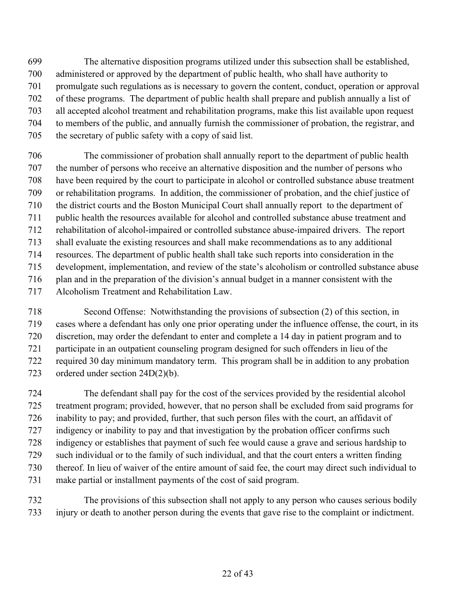- The alternative disposition programs utilized under this subsection shall be established, administered or approved by the department of public health, who shall have authority to promulgate such regulations as is necessary to govern the content, conduct, operation or approval of these programs. The department of public health shall prepare and publish annually a list of all accepted alcohol treatment and rehabilitation programs, make this list available upon request to members of the public, and annually furnish the commissioner of probation, the registrar, and the secretary of public safety with a copy of said list.
- The commissioner of probation shall annually report to the department of public health the number of persons who receive an alternative disposition and the number of persons who have been required by the court to participate in alcohol or controlled substance abuse treatment or rehabilitation programs. In addition, the commissioner of probation, and the chief justice of the district courts and the Boston Municipal Court shall annually report to the department of public health the resources available for alcohol and controlled substance abuse treatment and rehabilitation of alcohol-impaired or controlled substance abuse-impaired drivers. The report shall evaluate the existing resources and shall make recommendations as to any additional resources. The department of public health shall take such reports into consideration in the development, implementation, and review of the state's alcoholism or controlled substance abuse plan and in the preparation of the division's annual budget in a manner consistent with the Alcoholism Treatment and Rehabilitation Law.
- Second Offense: Notwithstanding the provisions of subsection (2) of this section, in cases where a defendant has only one prior operating under the influence offense, the court, in its discretion, may order the defendant to enter and complete a 14 day in patient program and to participate in an outpatient counseling program designed for such offenders in lieu of the required 30 day minimum mandatory term. This program shall be in addition to any probation ordered under section 24D(2)(b).
- The defendant shall pay for the cost of the services provided by the residential alcohol treatment program; provided, however, that no person shall be excluded from said programs for inability to pay; and provided, further, that such person files with the court, an affidavit of indigency or inability to pay and that investigation by the probation officer confirms such indigency or establishes that payment of such fee would cause a grave and serious hardship to such individual or to the family of such individual, and that the court enters a written finding thereof. In lieu of waiver of the entire amount of said fee, the court may direct such individual to make partial or installment payments of the cost of said program.
- The provisions of this subsection shall not apply to any person who causes serious bodily injury or death to another person during the events that gave rise to the complaint or indictment.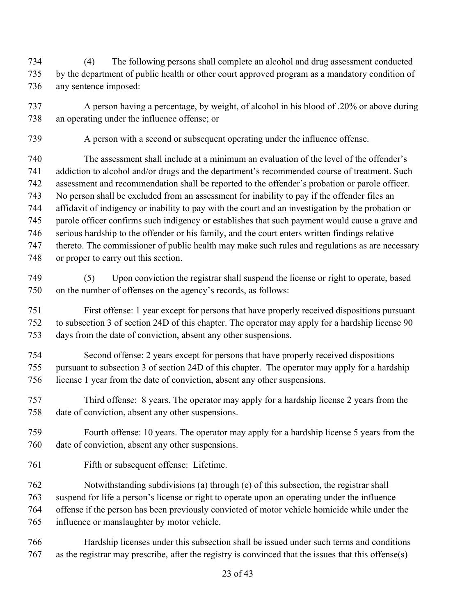(4) The following persons shall complete an alcohol and drug assessment conducted by the department of public health or other court approved program as a mandatory condition of any sentence imposed:

 A person having a percentage, by weight, of alcohol in his blood of .20% or above during an operating under the influence offense; or

A person with a second or subsequent operating under the influence offense.

 The assessment shall include at a minimum an evaluation of the level of the offender's addiction to alcohol and/or drugs and the department's recommended course of treatment. Such assessment and recommendation shall be reported to the offender's probation or parole officer. No person shall be excluded from an assessment for inability to pay if the offender files an affidavit of indigency or inability to pay with the court and an investigation by the probation or parole officer confirms such indigency or establishes that such payment would cause a grave and serious hardship to the offender or his family, and the court enters written findings relative thereto. The commissioner of public health may make such rules and regulations as are necessary or proper to carry out this section.

 (5) Upon conviction the registrar shall suspend the license or right to operate, based on the number of offenses on the agency's records, as follows:

 First offense: 1 year except for persons that have properly received dispositions pursuant to subsection 3 of section 24D of this chapter. The operator may apply for a hardship license 90 days from the date of conviction, absent any other suspensions.

 Second offense: 2 years except for persons that have properly received dispositions pursuant to subsection 3 of section 24D of this chapter. The operator may apply for a hardship license 1 year from the date of conviction, absent any other suspensions.

- Third offense: 8 years. The operator may apply for a hardship license 2 years from the date of conviction, absent any other suspensions.
- Fourth offense: 10 years. The operator may apply for a hardship license 5 years from the date of conviction, absent any other suspensions.
- Fifth or subsequent offense: Lifetime.

 Notwithstanding subdivisions (a) through (e) of this subsection, the registrar shall suspend for life a person's license or right to operate upon an operating under the influence offense if the person has been previously convicted of motor vehicle homicide while under the influence or manslaughter by motor vehicle.

 Hardship licenses under this subsection shall be issued under such terms and conditions as the registrar may prescribe, after the registry is convinced that the issues that this offense(s)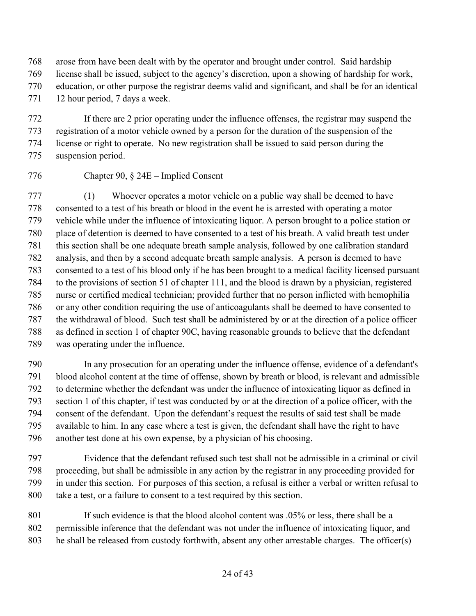arose from have been dealt with by the operator and brought under control. Said hardship license shall be issued, subject to the agency's discretion, upon a showing of hardship for work, education, or other purpose the registrar deems valid and significant, and shall be for an identical 771 12 hour period, 7 days a week.

 If there are 2 prior operating under the influence offenses, the registrar may suspend the registration of a motor vehicle owned by a person for the duration of the suspension of the license or right to operate. No new registration shall be issued to said person during the suspension period.

### Chapter 90, § 24E – Implied Consent

 (1) Whoever operates a motor vehicle on a public way shall be deemed to have consented to a test of his breath or blood in the event he is arrested with operating a motor vehicle while under the influence of intoxicating liquor. A person brought to a police station or place of detention is deemed to have consented to a test of his breath. A valid breath test under this section shall be one adequate breath sample analysis, followed by one calibration standard analysis, and then by a second adequate breath sample analysis. A person is deemed to have consented to a test of his blood only if he has been brought to a medical facility licensed pursuant to the provisions of section 51 of chapter 111, and the blood is drawn by a physician, registered nurse or certified medical technician; provided further that no person inflicted with hemophilia or any other condition requiring the use of anticoagulants shall be deemed to have consented to the withdrawal of blood. Such test shall be administered by or at the direction of a police officer as defined in section 1 of chapter 90C, having reasonable grounds to believe that the defendant was operating under the influence.

 In any prosecution for an operating under the influence offense, evidence of a defendant's blood alcohol content at the time of offense, shown by breath or blood, is relevant and admissible to determine whether the defendant was under the influence of intoxicating liquor as defined in section 1 of this chapter, if test was conducted by or at the direction of a police officer, with the consent of the defendant. Upon the defendant's request the results of said test shall be made available to him. In any case where a test is given, the defendant shall have the right to have another test done at his own expense, by a physician of his choosing.

 Evidence that the defendant refused such test shall not be admissible in a criminal or civil proceeding, but shall be admissible in any action by the registrar in any proceeding provided for in under this section. For purposes of this section, a refusal is either a verbal or written refusal to take a test, or a failure to consent to a test required by this section.

801 If such evidence is that the blood alcohol content was .05% or less, there shall be a permissible inference that the defendant was not under the influence of intoxicating liquor, and he shall be released from custody forthwith, absent any other arrestable charges. The officer(s)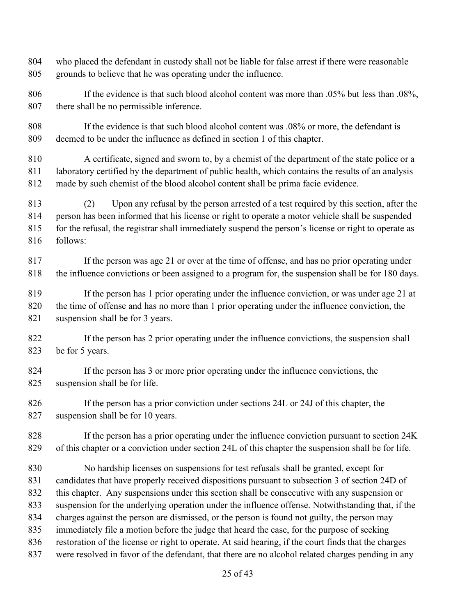- who placed the defendant in custody shall not be liable for false arrest if there were reasonable grounds to believe that he was operating under the influence.
- 806 If the evidence is that such blood alcohol content was more than .05% but less than .08%, there shall be no permissible inference.
- If the evidence is that such blood alcohol content was .08% or more, the defendant is deemed to be under the influence as defined in section 1 of this chapter.
- A certificate, signed and sworn to, by a chemist of the department of the state police or a laboratory certified by the department of public health, which contains the results of an analysis made by such chemist of the blood alcohol content shall be prima facie evidence.
- (2) Upon any refusal by the person arrested of a test required by this section, after the person has been informed that his license or right to operate a motor vehicle shall be suspended for the refusal, the registrar shall immediately suspend the person's license or right to operate as follows:
- If the person was age 21 or over at the time of offense, and has no prior operating under the influence convictions or been assigned to a program for, the suspension shall be for 180 days.
- If the person has 1 prior operating under the influence conviction, or was under age 21 at the time of offense and has no more than 1 prior operating under the influence conviction, the suspension shall be for 3 years.
- If the person has 2 prior operating under the influence convictions, the suspension shall be for 5 years.
- If the person has 3 or more prior operating under the influence convictions, the suspension shall be for life.
- If the person has a prior conviction under sections 24L or 24J of this chapter, the suspension shall be for 10 years.
- If the person has a prior operating under the influence conviction pursuant to section 24K of this chapter or a conviction under section 24L of this chapter the suspension shall be for life.
- No hardship licenses on suspensions for test refusals shall be granted, except for candidates that have properly received dispositions pursuant to subsection 3 of section 24D of this chapter. Any suspensions under this section shall be consecutive with any suspension or suspension for the underlying operation under the influence offense. Notwithstanding that, if the charges against the person are dismissed, or the person is found not guilty, the person may immediately file a motion before the judge that heard the case, for the purpose of seeking restoration of the license or right to operate. At said hearing, if the court finds that the charges were resolved in favor of the defendant, that there are no alcohol related charges pending in any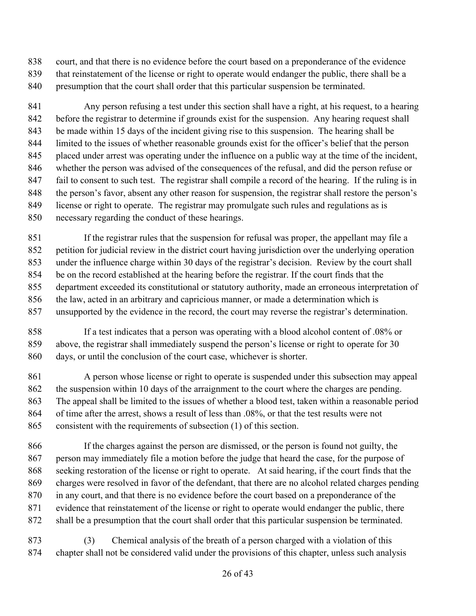court, and that there is no evidence before the court based on a preponderance of the evidence

 that reinstatement of the license or right to operate would endanger the public, there shall be a presumption that the court shall order that this particular suspension be terminated.

 Any person refusing a test under this section shall have a right, at his request, to a hearing before the registrar to determine if grounds exist for the suspension. Any hearing request shall be made within 15 days of the incident giving rise to this suspension. The hearing shall be limited to the issues of whether reasonable grounds exist for the officer's belief that the person placed under arrest was operating under the influence on a public way at the time of the incident, whether the person was advised of the consequences of the refusal, and did the person refuse or fail to consent to such test. The registrar shall compile a record of the hearing. If the ruling is in the person's favor, absent any other reason for suspension, the registrar shall restore the person's license or right to operate. The registrar may promulgate such rules and regulations as is necessary regarding the conduct of these hearings.

 If the registrar rules that the suspension for refusal was proper, the appellant may file a petition for judicial review in the district court having jurisdiction over the underlying operation under the influence charge within 30 days of the registrar's decision. Review by the court shall be on the record established at the hearing before the registrar. If the court finds that the department exceeded its constitutional or statutory authority, made an erroneous interpretation of the law, acted in an arbitrary and capricious manner, or made a determination which is unsupported by the evidence in the record, the court may reverse the registrar's determination.

 If a test indicates that a person was operating with a blood alcohol content of .08% or above, the registrar shall immediately suspend the person's license or right to operate for 30 days, or until the conclusion of the court case, whichever is shorter.

 A person whose license or right to operate is suspended under this subsection may appeal 862 the suspension within 10 days of the arraignment to the court where the charges are pending. The appeal shall be limited to the issues of whether a blood test, taken within a reasonable period of time after the arrest, shows a result of less than .08%, or that the test results were not consistent with the requirements of subsection (1) of this section.

 If the charges against the person are dismissed, or the person is found not guilty, the person may immediately file a motion before the judge that heard the case, for the purpose of seeking restoration of the license or right to operate. At said hearing, if the court finds that the charges were resolved in favor of the defendant, that there are no alcohol related charges pending in any court, and that there is no evidence before the court based on a preponderance of the 871 evidence that reinstatement of the license or right to operate would endanger the public, there shall be a presumption that the court shall order that this particular suspension be terminated.

 (3) Chemical analysis of the breath of a person charged with a violation of this chapter shall not be considered valid under the provisions of this chapter, unless such analysis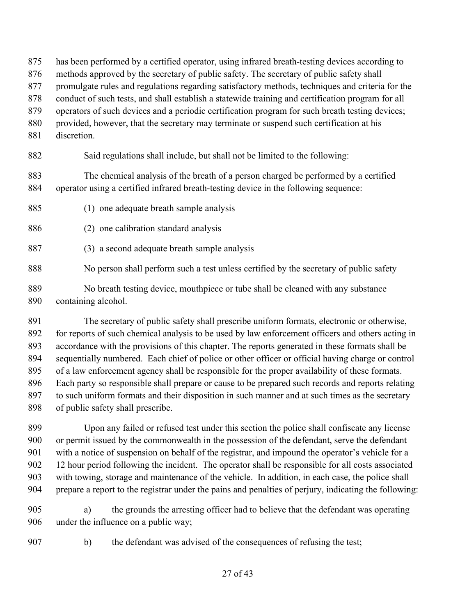- has been performed by a certified operator, using infrared breath-testing devices according to
- methods approved by the secretary of public safety. The secretary of public safety shall
- promulgate rules and regulations regarding satisfactory methods, techniques and criteria for the
- conduct of such tests, and shall establish a statewide training and certification program for all
- operators of such devices and a periodic certification program for such breath testing devices;
- 880 provided, however, that the secretary may terminate or suspend such certification at his
- discretion.
- Said regulations shall include, but shall not be limited to the following:

 The chemical analysis of the breath of a person charged be performed by a certified operator using a certified infrared breath-testing device in the following sequence:

- (1) one adequate breath sample analysis
- (2) one calibration standard analysis
- (3) a second adequate breath sample analysis
- No person shall perform such a test unless certified by the secretary of public safety
- No breath testing device, mouthpiece or tube shall be cleaned with any substance containing alcohol.

 The secretary of public safety shall prescribe uniform formats, electronic or otherwise, for reports of such chemical analysis to be used by law enforcement officers and others acting in accordance with the provisions of this chapter. The reports generated in these formats shall be sequentially numbered. Each chief of police or other officer or official having charge or control of a law enforcement agency shall be responsible for the proper availability of these formats. Each party so responsible shall prepare or cause to be prepared such records and reports relating to such uniform formats and their disposition in such manner and at such times as the secretary of public safety shall prescribe.

 Upon any failed or refused test under this section the police shall confiscate any license or permit issued by the commonwealth in the possession of the defendant, serve the defendant with a notice of suspension on behalf of the registrar, and impound the operator's vehicle for a 12 hour period following the incident. The operator shall be responsible for all costs associated with towing, storage and maintenance of the vehicle. In addition, in each case, the police shall prepare a report to the registrar under the pains and penalties of perjury, indicating the following:

- a) the grounds the arresting officer had to believe that the defendant was operating under the influence on a public way;
- 
- b) the defendant was advised of the consequences of refusing the test;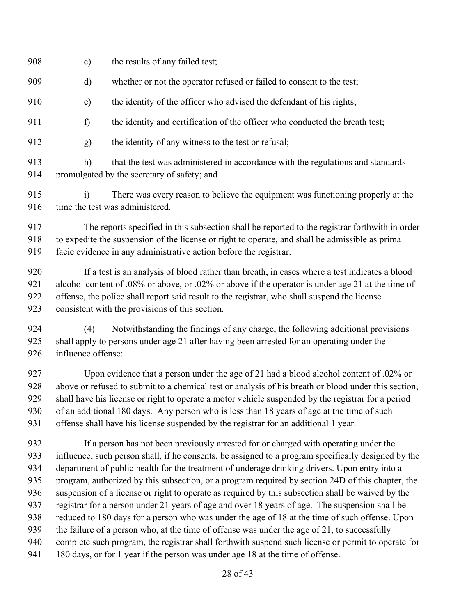| 908                             | $\mathbf{c})$                                                                                                                                                                                                                                                                                                                                                                                                                                                                             | the results of any failed test;                                                                                                                                                                                                                                                                                                                                                                                                                                                                        |
|---------------------------------|-------------------------------------------------------------------------------------------------------------------------------------------------------------------------------------------------------------------------------------------------------------------------------------------------------------------------------------------------------------------------------------------------------------------------------------------------------------------------------------------|--------------------------------------------------------------------------------------------------------------------------------------------------------------------------------------------------------------------------------------------------------------------------------------------------------------------------------------------------------------------------------------------------------------------------------------------------------------------------------------------------------|
| 909                             | d)                                                                                                                                                                                                                                                                                                                                                                                                                                                                                        | whether or not the operator refused or failed to consent to the test;                                                                                                                                                                                                                                                                                                                                                                                                                                  |
| 910                             | e)                                                                                                                                                                                                                                                                                                                                                                                                                                                                                        | the identity of the officer who advised the defendant of his rights;                                                                                                                                                                                                                                                                                                                                                                                                                                   |
| 911                             | f)                                                                                                                                                                                                                                                                                                                                                                                                                                                                                        | the identity and certification of the officer who conducted the breath test;                                                                                                                                                                                                                                                                                                                                                                                                                           |
| 912                             | g)                                                                                                                                                                                                                                                                                                                                                                                                                                                                                        | the identity of any witness to the test or refusal;                                                                                                                                                                                                                                                                                                                                                                                                                                                    |
| 913<br>914                      | h)                                                                                                                                                                                                                                                                                                                                                                                                                                                                                        | that the test was administered in accordance with the regulations and standards<br>promulgated by the secretary of safety; and                                                                                                                                                                                                                                                                                                                                                                         |
| 915<br>916                      | $\ddot{1}$                                                                                                                                                                                                                                                                                                                                                                                                                                                                                | There was every reason to believe the equipment was functioning properly at the<br>time the test was administered.                                                                                                                                                                                                                                                                                                                                                                                     |
| 917<br>918<br>919               | The reports specified in this subsection shall be reported to the registrar forthwith in order<br>to expedite the suspension of the license or right to operate, and shall be admissible as prima<br>facie evidence in any administrative action before the registrar.                                                                                                                                                                                                                    |                                                                                                                                                                                                                                                                                                                                                                                                                                                                                                        |
| 920<br>921<br>922<br>923        | If a test is an analysis of blood rather than breath, in cases where a test indicates a blood<br>alcohol content of .08% or above, or .02% or above if the operator is under age 21 at the time of<br>offense, the police shall report said result to the registrar, who shall suspend the license<br>consistent with the provisions of this section.                                                                                                                                     |                                                                                                                                                                                                                                                                                                                                                                                                                                                                                                        |
| 924<br>925<br>926               | (4)<br>influence offense:                                                                                                                                                                                                                                                                                                                                                                                                                                                                 | Notwithstanding the findings of any charge, the following additional provisions<br>shall apply to persons under age 21 after having been arrested for an operating under the                                                                                                                                                                                                                                                                                                                           |
| 927<br>928<br>929<br>930<br>931 | Upon evidence that a person under the age of 21 had a blood alcohol content of .02% or<br>above or refused to submit to a chemical test or analysis of his breath or blood under this section,<br>shall have his license or right to operate a motor vehicle suspended by the registrar for a period<br>of an additional 180 days. Any person who is less than 18 years of age at the time of such<br>offense shall have his license suspended by the registrar for an additional 1 year. |                                                                                                                                                                                                                                                                                                                                                                                                                                                                                                        |
| 932<br>933<br>934<br>935<br>936 |                                                                                                                                                                                                                                                                                                                                                                                                                                                                                           | If a person has not been previously arrested for or charged with operating under the<br>influence, such person shall, if he consents, be assigned to a program specifically designed by the<br>department of public health for the treatment of underage drinking drivers. Upon entry into a<br>program, authorized by this subsection, or a program required by section 24D of this chapter, the<br>suspension of a license or right to operate as required by this subsection shall be waived by the |

- registrar for a person under 21 years of age and over 18 years of age. The suspension shall be
- reduced to 180 days for a person who was under the age of 18 at the time of such offense. Upon
- the failure of a person who, at the time of offense was under the age of 21, to successfully
- complete such program, the registrar shall forthwith suspend such license or permit to operate for
- 180 days, or for 1 year if the person was under age 18 at the time of offense.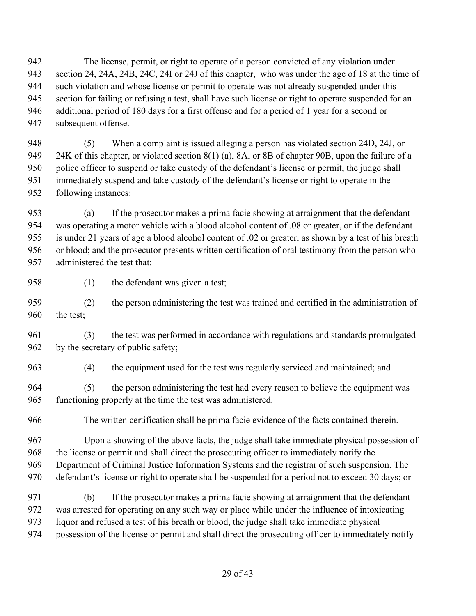The license, permit, or right to operate of a person convicted of any violation under section 24, 24A, 24B, 24C, 24I or 24J of this chapter, who was under the age of 18 at the time of such violation and whose license or permit to operate was not already suspended under this section for failing or refusing a test, shall have such license or right to operate suspended for an additional period of 180 days for a first offense and for a period of 1 year for a second or subsequent offense.

 (5) When a complaint is issued alleging a person has violated section 24D, 24J, or 24K of this chapter, or violated section 8(1) (a), 8A, or 8B of chapter 90B, upon the failure of a police officer to suspend or take custody of the defendant's license or permit, the judge shall immediately suspend and take custody of the defendant's license or right to operate in the following instances:

 (a) If the prosecutor makes a prima facie showing at arraignment that the defendant was operating a motor vehicle with a blood alcohol content of .08 or greater, or if the defendant is under 21 years of age a blood alcohol content of .02 or greater, as shown by a test of his breath or blood; and the prosecutor presents written certification of oral testimony from the person who administered the test that:

958 (1) the defendant was given a test;

 (2) the person administering the test was trained and certified in the administration of 960 the test:

 (3) the test was performed in accordance with regulations and standards promulgated 962 by the secretary of public safety;

(4) the equipment used for the test was regularly serviced and maintained; and

 (5) the person administering the test had every reason to believe the equipment was functioning properly at the time the test was administered.

The written certification shall be prima facie evidence of the facts contained therein.

 Upon a showing of the above facts, the judge shall take immediate physical possession of the license or permit and shall direct the prosecuting officer to immediately notify the Department of Criminal Justice Information Systems and the registrar of such suspension. The defendant's license or right to operate shall be suspended for a period not to exceed 30 days; or

 (b) If the prosecutor makes a prima facie showing at arraignment that the defendant was arrested for operating on any such way or place while under the influence of intoxicating liquor and refused a test of his breath or blood, the judge shall take immediate physical possession of the license or permit and shall direct the prosecuting officer to immediately notify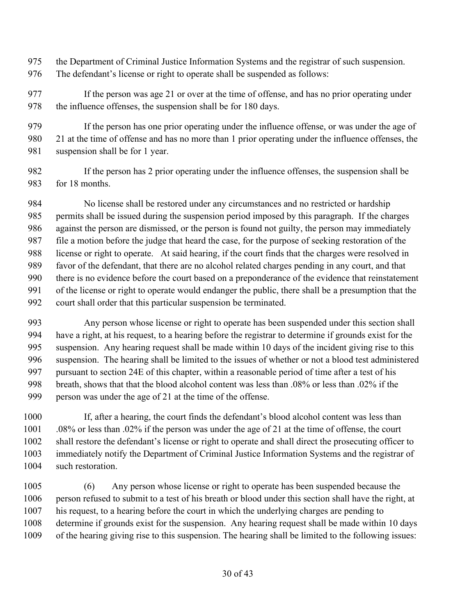- the Department of Criminal Justice Information Systems and the registrar of such suspension. The defendant's license or right to operate shall be suspended as follows:
- If the person was age 21 or over at the time of offense, and has no prior operating under 978 the influence offenses, the suspension shall be for 180 days.

 If the person has one prior operating under the influence offense, or was under the age of 21 at the time of offense and has no more than 1 prior operating under the influence offenses, the 981 suspension shall be for 1 year.

 If the person has 2 prior operating under the influence offenses, the suspension shall be for 18 months.

 No license shall be restored under any circumstances and no restricted or hardship permits shall be issued during the suspension period imposed by this paragraph. If the charges against the person are dismissed, or the person is found not guilty, the person may immediately file a motion before the judge that heard the case, for the purpose of seeking restoration of the license or right to operate. At said hearing, if the court finds that the charges were resolved in favor of the defendant, that there are no alcohol related charges pending in any court, and that there is no evidence before the court based on a preponderance of the evidence that reinstatement of the license or right to operate would endanger the public, there shall be a presumption that the court shall order that this particular suspension be terminated.

 Any person whose license or right to operate has been suspended under this section shall have a right, at his request, to a hearing before the registrar to determine if grounds exist for the suspension. Any hearing request shall be made within 10 days of the incident giving rise to this suspension. The hearing shall be limited to the issues of whether or not a blood test administered 997 pursuant to section 24E of this chapter, within a reasonable period of time after a test of his breath, shows that that the blood alcohol content was less than .08% or less than .02% if the person was under the age of 21 at the time of the offense.

 If, after a hearing, the court finds the defendant's blood alcohol content was less than .08% or less than .02% if the person was under the age of 21 at the time of offense, the court shall restore the defendant's license or right to operate and shall direct the prosecuting officer to immediately notify the Department of Criminal Justice Information Systems and the registrar of 1004 such restoration.

 (6) Any person whose license or right to operate has been suspended because the person refused to submit to a test of his breath or blood under this section shall have the right, at his request, to a hearing before the court in which the underlying charges are pending to determine if grounds exist for the suspension. Any hearing request shall be made within 10 days of the hearing giving rise to this suspension. The hearing shall be limited to the following issues: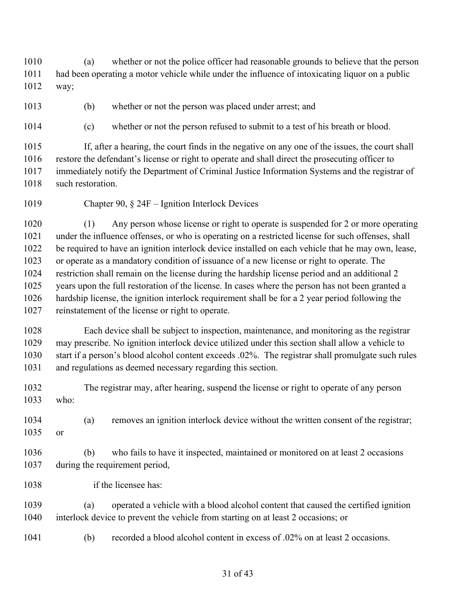(a) whether or not the police officer had reasonable grounds to believe that the person had been operating a motor vehicle while under the influence of intoxicating liquor on a public way;

(b) whether or not the person was placed under arrest; and

(c) whether or not the person refused to submit to a test of his breath or blood.

 If, after a hearing, the court finds in the negative on any one of the issues, the court shall restore the defendant's license or right to operate and shall direct the prosecuting officer to immediately notify the Department of Criminal Justice Information Systems and the registrar of 1018 such restoration.

Chapter 90, § 24F – Ignition Interlock Devices

 (1) Any person whose license or right to operate is suspended for 2 or more operating under the influence offenses, or who is operating on a restricted license for such offenses, shall be required to have an ignition interlock device installed on each vehicle that he may own, lease, or operate as a mandatory condition of issuance of a new license or right to operate. The restriction shall remain on the license during the hardship license period and an additional 2 years upon the full restoration of the license. In cases where the person has not been granted a hardship license, the ignition interlock requirement shall be for a 2 year period following the reinstatement of the license or right to operate.

 Each device shall be subject to inspection, maintenance, and monitoring as the registrar may prescribe. No ignition interlock device utilized under this section shall allow a vehicle to start if a person's blood alcohol content exceeds .02%. The registrar shall promulgate such rules and regulations as deemed necessary regarding this section.

 The registrar may, after hearing, suspend the license or right to operate of any person who:

 (a) removes an ignition interlock device without the written consent of the registrar; or

 (b) who fails to have it inspected, maintained or monitored on at least 2 occasions during the requirement period,

1038 if the licensee has:

 (a) operated a vehicle with a blood alcohol content that caused the certified ignition interlock device to prevent the vehicle from starting on at least 2 occasions; or

(b) recorded a blood alcohol content in excess of .02% on at least 2 occasions.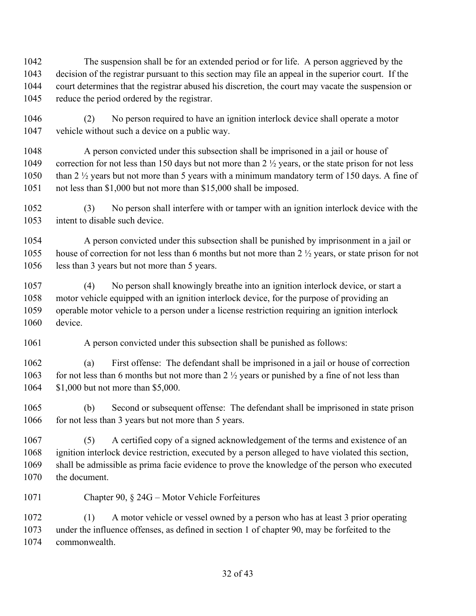The suspension shall be for an extended period or for life. A person aggrieved by the decision of the registrar pursuant to this section may file an appeal in the superior court. If the court determines that the registrar abused his discretion, the court may vacate the suspension or 1045 reduce the period ordered by the registrar.

 (2) No person required to have an ignition interlock device shall operate a motor vehicle without such a device on a public way.

 A person convicted under this subsection shall be imprisoned in a jail or house of 1049 correction for not less than 150 days but not more than 2  $\frac{1}{2}$  years, or the state prison for not less 1050 than 2 <sup>1/2</sup> years but not more than 5 years with a minimum mandatory term of 150 days. A fine of not less than \$1,000 but not more than \$15,000 shall be imposed.

 (3) No person shall interfere with or tamper with an ignition interlock device with the intent to disable such device.

 A person convicted under this subsection shall be punished by imprisonment in a jail or 1055 house of correction for not less than 6 months but not more than 2  $\frac{1}{2}$  years, or state prison for not less than 3 years but not more than 5 years.

 (4) No person shall knowingly breathe into an ignition interlock device, or start a motor vehicle equipped with an ignition interlock device, for the purpose of providing an operable motor vehicle to a person under a license restriction requiring an ignition interlock device.

A person convicted under this subsection shall be punished as follows:

 (a) First offense: The defendant shall be imprisoned in a jail or house of correction 1063 for not less than 6 months but not more than  $2 \frac{1}{2}$  years or punished by a fine of not less than \$1,000 but not more than \$5,000.

 (b) Second or subsequent offense: The defendant shall be imprisoned in state prison 1066 for not less than 3 years but not more than 5 years.

 (5) A certified copy of a signed acknowledgement of the terms and existence of an ignition interlock device restriction, executed by a person alleged to have violated this section, shall be admissible as prima facie evidence to prove the knowledge of the person who executed the document.

Chapter 90, § 24G – Motor Vehicle Forfeitures

 (1) A motor vehicle or vessel owned by a person who has at least 3 prior operating under the influence offenses, as defined in section 1 of chapter 90, may be forfeited to the commonwealth.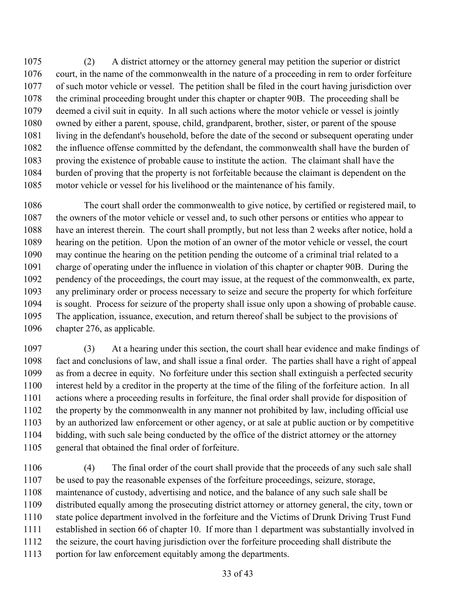(2) A district attorney or the attorney general may petition the superior or district court, in the name of the commonwealth in the nature of a proceeding in rem to order forfeiture of such motor vehicle or vessel. The petition shall be filed in the court having jurisdiction over the criminal proceeding brought under this chapter or chapter 90B. The proceeding shall be deemed a civil suit in equity. In all such actions where the motor vehicle or vessel is jointly owned by either a parent, spouse, child, grandparent, brother, sister, or parent of the spouse living in the defendant's household, before the date of the second or subsequent operating under the influence offense committed by the defendant, the commonwealth shall have the burden of proving the existence of probable cause to institute the action. The claimant shall have the burden of proving that the property is not forfeitable because the claimant is dependent on the motor vehicle or vessel for his livelihood or the maintenance of his family.

 The court shall order the commonwealth to give notice, by certified or registered mail, to the owners of the motor vehicle or vessel and, to such other persons or entities who appear to have an interest therein. The court shall promptly, but not less than 2 weeks after notice, hold a hearing on the petition. Upon the motion of an owner of the motor vehicle or vessel, the court may continue the hearing on the petition pending the outcome of a criminal trial related to a charge of operating under the influence in violation of this chapter or chapter 90B. During the pendency of the proceedings, the court may issue, at the request of the commonwealth, ex parte, any preliminary order or process necessary to seize and secure the property for which forfeiture is sought. Process for seizure of the property shall issue only upon a showing of probable cause. The application, issuance, execution, and return thereof shall be subject to the provisions of chapter 276, as applicable.

 (3) At a hearing under this section, the court shall hear evidence and make findings of fact and conclusions of law, and shall issue a final order. The parties shall have a right of appeal as from a decree in equity. No forfeiture under this section shall extinguish a perfected security interest held by a creditor in the property at the time of the filing of the forfeiture action. In all actions where a proceeding results in forfeiture, the final order shall provide for disposition of the property by the commonwealth in any manner not prohibited by law, including official use by an authorized law enforcement or other agency, or at sale at public auction or by competitive bidding, with such sale being conducted by the office of the district attorney or the attorney general that obtained the final order of forfeiture.

 (4) The final order of the court shall provide that the proceeds of any such sale shall be used to pay the reasonable expenses of the forfeiture proceedings, seizure, storage, maintenance of custody, advertising and notice, and the balance of any such sale shall be distributed equally among the prosecuting district attorney or attorney general, the city, town or state police department involved in the forfeiture and the Victims of Drunk Driving Trust Fund established in section 66 of chapter 10. If more than 1 department was substantially involved in the seizure, the court having jurisdiction over the forfeiture proceeding shall distribute the portion for law enforcement equitably among the departments.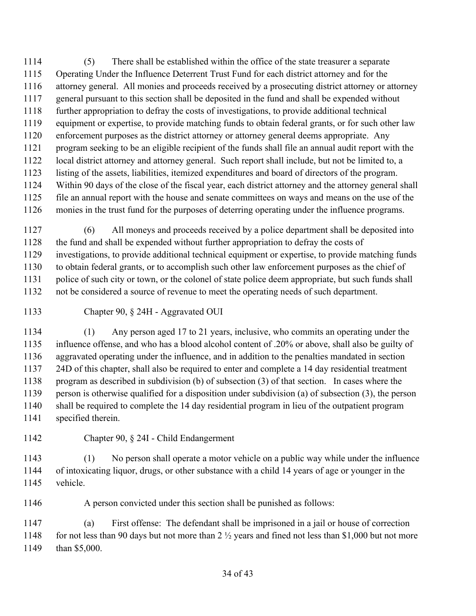(5) There shall be established within the office of the state treasurer a separate Operating Under the Influence Deterrent Trust Fund for each district attorney and for the attorney general. All monies and proceeds received by a prosecuting district attorney or attorney general pursuant to this section shall be deposited in the fund and shall be expended without further appropriation to defray the costs of investigations, to provide additional technical equipment or expertise, to provide matching funds to obtain federal grants, or for such other law enforcement purposes as the district attorney or attorney general deems appropriate. Any program seeking to be an eligible recipient of the funds shall file an annual audit report with the local district attorney and attorney general. Such report shall include, but not be limited to, a listing of the assets, liabilities, itemized expenditures and board of directors of the program. Within 90 days of the close of the fiscal year, each district attorney and the attorney general shall file an annual report with the house and senate committees on ways and means on the use of the monies in the trust fund for the purposes of deterring operating under the influence programs.

 (6) All moneys and proceeds received by a police department shall be deposited into the fund and shall be expended without further appropriation to defray the costs of investigations, to provide additional technical equipment or expertise, to provide matching funds to obtain federal grants, or to accomplish such other law enforcement purposes as the chief of police of such city or town, or the colonel of state police deem appropriate, but such funds shall not be considered a source of revenue to meet the operating needs of such department.

Chapter 90, § 24H - Aggravated OUI

 (1) Any person aged 17 to 21 years, inclusive, who commits an operating under the influence offense, and who has a blood alcohol content of .20% or above, shall also be guilty of aggravated operating under the influence, and in addition to the penalties mandated in section 24D of this chapter, shall also be required to enter and complete a 14 day residential treatment program as described in subdivision (b) of subsection (3) of that section. In cases where the person is otherwise qualified for a disposition under subdivision (a) of subsection (3), the person shall be required to complete the 14 day residential program in lieu of the outpatient program specified therein.

Chapter 90, § 24I - Child Endangerment

 (1) No person shall operate a motor vehicle on a public way while under the influence of intoxicating liquor, drugs, or other substance with a child 14 years of age or younger in the vehicle.

A person convicted under this section shall be punished as follows:

 (a) First offense: The defendant shall be imprisoned in a jail or house of correction 1148 for not less than 90 days but not more than  $2\frac{1}{2}$  years and fined not less than \$1,000 but not more than \$5,000.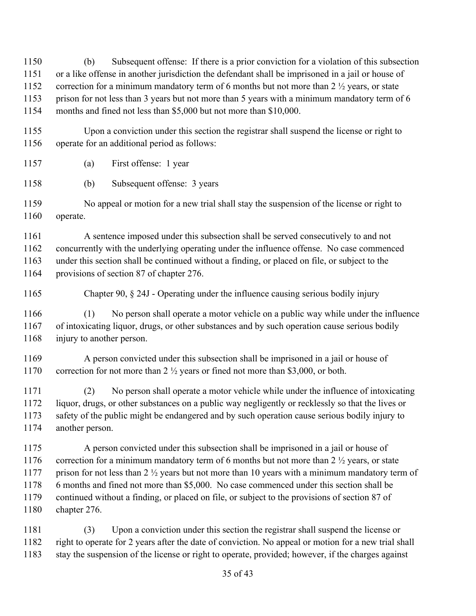(b) Subsequent offense: If there is a prior conviction for a violation of this subsection or a like offense in another jurisdiction the defendant shall be imprisoned in a jail or house of 1152 correction for a minimum mandatory term of 6 months but not more than 2  $\frac{1}{2}$  years, or state prison for not less than 3 years but not more than 5 years with a minimum mandatory term of 6 months and fined not less than \$5,000 but not more than \$10,000.

- Upon a conviction under this section the registrar shall suspend the license or right to operate for an additional period as follows:
- (a) First offense: 1 year
- (b) Subsequent offense: 3 years
- No appeal or motion for a new trial shall stay the suspension of the license or right to operate.

 A sentence imposed under this subsection shall be served consecutively to and not concurrently with the underlying operating under the influence offense. No case commenced under this section shall be continued without a finding, or placed on file, or subject to the provisions of section 87 of chapter 276.

Chapter 90, § 24J - Operating under the influence causing serious bodily injury

 (1) No person shall operate a motor vehicle on a public way while under the influence of intoxicating liquor, drugs, or other substances and by such operation cause serious bodily 1168 injury to another person.

 A person convicted under this subsection shall be imprisoned in a jail or house of 1170 correction for not more than 2  $\frac{1}{2}$  years or fined not more than \$3,000, or both.

 (2) No person shall operate a motor vehicle while under the influence of intoxicating liquor, drugs, or other substances on a public way negligently or recklessly so that the lives or safety of the public might be endangered and by such operation cause serious bodily injury to another person.

 A person convicted under this subsection shall be imprisoned in a jail or house of 1176 correction for a minimum mandatory term of 6 months but not more than  $2\frac{1}{2}$  years, or state 1177 prison for not less than 2  $\frac{1}{2}$  years but not more than 10 years with a minimum mandatory term of 6 months and fined not more than \$5,000. No case commenced under this section shall be continued without a finding, or placed on file, or subject to the provisions of section 87 of chapter 276.

 (3) Upon a conviction under this section the registrar shall suspend the license or right to operate for 2 years after the date of conviction. No appeal or motion for a new trial shall stay the suspension of the license or right to operate, provided; however, if the charges against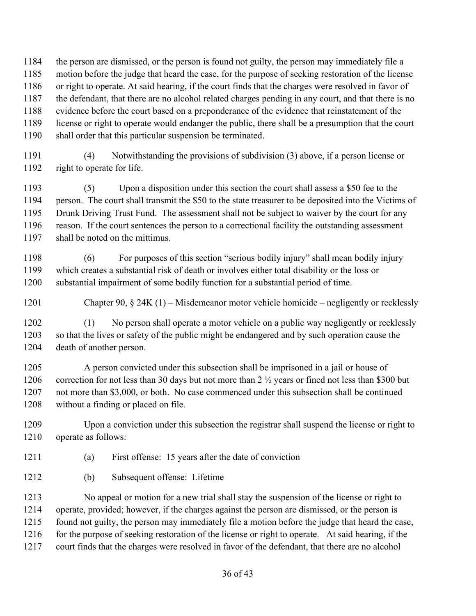the person are dismissed, or the person is found not guilty, the person may immediately file a

- motion before the judge that heard the case, for the purpose of seeking restoration of the license
- or right to operate. At said hearing, if the court finds that the charges were resolved in favor of

the defendant, that there are no alcohol related charges pending in any court, and that there is no

- evidence before the court based on a preponderance of the evidence that reinstatement of the
- license or right to operate would endanger the public, there shall be a presumption that the court shall order that this particular suspension be terminated.
- (4) Notwithstanding the provisions of subdivision (3) above, if a person license or right to operate for life.

 (5) Upon a disposition under this section the court shall assess a \$50 fee to the person. The court shall transmit the \$50 to the state treasurer to be deposited into the Victims of Drunk Driving Trust Fund. The assessment shall not be subject to waiver by the court for any reason. If the court sentences the person to a correctional facility the outstanding assessment shall be noted on the mittimus.

 (6) For purposes of this section "serious bodily injury" shall mean bodily injury which creates a substantial risk of death or involves either total disability or the loss or substantial impairment of some bodily function for a substantial period of time.

Chapter 90, § 24K (1) – Misdemeanor motor vehicle homicide – negligently or recklessly

 (1) No person shall operate a motor vehicle on a public way negligently or recklessly so that the lives or safety of the public might be endangered and by such operation cause the death of another person.

 A person convicted under this subsection shall be imprisoned in a jail or house of 1206 correction for not less than 30 days but not more than 2 <sup>1</sup>/<sub>2</sub> years or fined not less than \$300 but not more than \$3,000, or both. No case commenced under this subsection shall be continued without a finding or placed on file.

 Upon a conviction under this subsection the registrar shall suspend the license or right to operate as follows:

- (a) First offense: 15 years after the date of conviction
- (b) Subsequent offense: Lifetime

 No appeal or motion for a new trial shall stay the suspension of the license or right to operate, provided; however, if the charges against the person are dismissed, or the person is found not guilty, the person may immediately file a motion before the judge that heard the case, 1216 for the purpose of seeking restoration of the license or right to operate. At said hearing, if the court finds that the charges were resolved in favor of the defendant, that there are no alcohol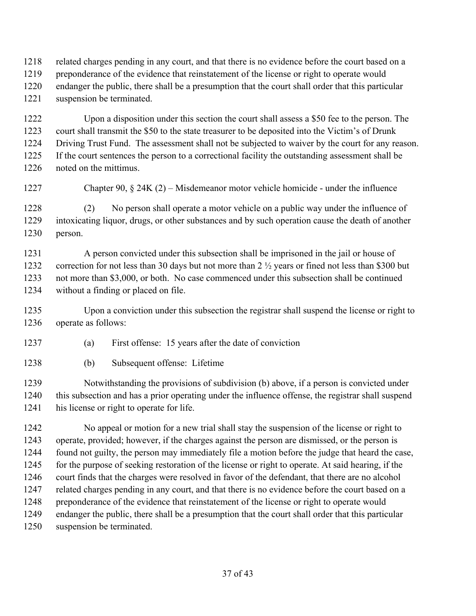related charges pending in any court, and that there is no evidence before the court based on a

- preponderance of the evidence that reinstatement of the license or right to operate would endanger the public, there shall be a presumption that the court shall order that this particular
- suspension be terminated.

 Upon a disposition under this section the court shall assess a \$50 fee to the person. The court shall transmit the \$50 to the state treasurer to be deposited into the Victim's of Drunk Driving Trust Fund. The assessment shall not be subjected to waiver by the court for any reason. If the court sentences the person to a correctional facility the outstanding assessment shall be noted on the mittimus.

Chapter 90, § 24K (2) – Misdemeanor motor vehicle homicide - under the influence

 (2) No person shall operate a motor vehicle on a public way under the influence of intoxicating liquor, drugs, or other substances and by such operation cause the death of another person.

 A person convicted under this subsection shall be imprisoned in the jail or house of 1232 correction for not less than 30 days but not more than 2  $\frac{1}{2}$  years or fined not less than \$300 but not more than \$3,000, or both. No case commenced under this subsection shall be continued without a finding or placed on file.

 Upon a conviction under this subsection the registrar shall suspend the license or right to operate as follows:

- (a) First offense: 15 years after the date of conviction
- (b) Subsequent offense: Lifetime

 Notwithstanding the provisions of subdivision (b) above, if a person is convicted under this subsection and has a prior operating under the influence offense, the registrar shall suspend his license or right to operate for life.

 No appeal or motion for a new trial shall stay the suspension of the license or right to operate, provided; however, if the charges against the person are dismissed, or the person is found not guilty, the person may immediately file a motion before the judge that heard the case, 1245 for the purpose of seeking restoration of the license or right to operate. At said hearing, if the court finds that the charges were resolved in favor of the defendant, that there are no alcohol related charges pending in any court, and that there is no evidence before the court based on a 1248 preponderance of the evidence that reinstatement of the license or right to operate would endanger the public, there shall be a presumption that the court shall order that this particular suspension be terminated.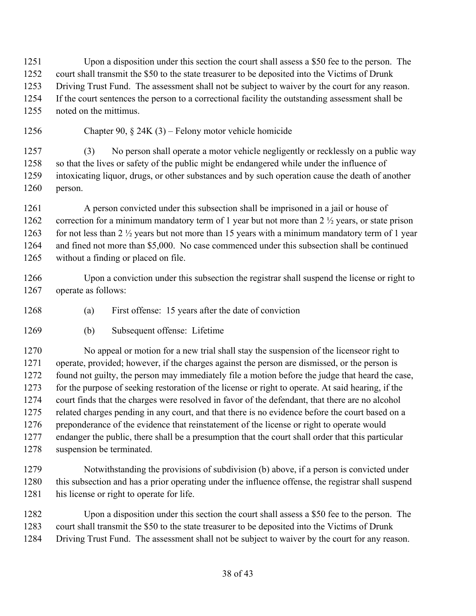Upon a disposition under this section the court shall assess a \$50 fee to the person. The court shall transmit the \$50 to the state treasurer to be deposited into the Victims of Drunk Driving Trust Fund. The assessment shall not be subject to waiver by the court for any reason. If the court sentences the person to a correctional facility the outstanding assessment shall be noted on the mittimus.

Chapter 90, § 24K (3) – Felony motor vehicle homicide

 (3) No person shall operate a motor vehicle negligently or recklessly on a public way so that the lives or safety of the public might be endangered while under the influence of intoxicating liquor, drugs, or other substances and by such operation cause the death of another person.

 A person convicted under this subsection shall be imprisoned in a jail or house of 1262 correction for a minimum mandatory term of 1 year but not more than 2  $\frac{1}{2}$  years, or state prison 1263 for not less than  $2 \frac{1}{2}$  years but not more than 15 years with a minimum mandatory term of 1 year and fined not more than \$5,000. No case commenced under this subsection shall be continued without a finding or placed on file.

 Upon a conviction under this subsection the registrar shall suspend the license or right to operate as follows:

- (a) First offense: 15 years after the date of conviction
- (b) Subsequent offense: Lifetime

 No appeal or motion for a new trial shall stay the suspension of the licenseor right to operate, provided; however, if the charges against the person are dismissed, or the person is found not guilty, the person may immediately file a motion before the judge that heard the case, for the purpose of seeking restoration of the license or right to operate. At said hearing, if the court finds that the charges were resolved in favor of the defendant, that there are no alcohol related charges pending in any court, and that there is no evidence before the court based on a 1276 preponderance of the evidence that reinstatement of the license or right to operate would endanger the public, there shall be a presumption that the court shall order that this particular suspension be terminated.

 Notwithstanding the provisions of subdivision (b) above, if a person is convicted under this subsection and has a prior operating under the influence offense, the registrar shall suspend his license or right to operate for life.

 Upon a disposition under this section the court shall assess a \$50 fee to the person. The court shall transmit the \$50 to the state treasurer to be deposited into the Victims of Drunk Driving Trust Fund. The assessment shall not be subject to waiver by the court for any reason.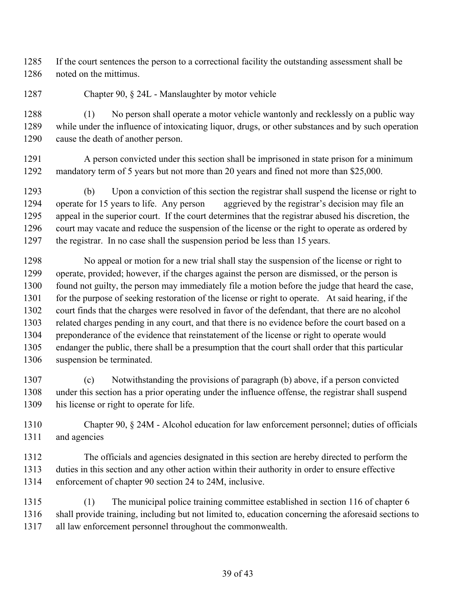If the court sentences the person to a correctional facility the outstanding assessment shall be noted on the mittimus.

Chapter 90, § 24L - Manslaughter by motor vehicle

 (1) No person shall operate a motor vehicle wantonly and recklessly on a public way while under the influence of intoxicating liquor, drugs, or other substances and by such operation cause the death of another person.

 A person convicted under this section shall be imprisoned in state prison for a minimum mandatory term of 5 years but not more than 20 years and fined not more than \$25,000.

 (b) Upon a conviction of this section the registrar shall suspend the license or right to operate for 15 years to life. Any person aggrieved by the registrar's decision may file an appeal in the superior court. If the court determines that the registrar abused his discretion, the 1296 court may vacate and reduce the suspension of the license or the right to operate as ordered by the registrar. In no case shall the suspension period be less than 15 years.

 No appeal or motion for a new trial shall stay the suspension of the license or right to operate, provided; however, if the charges against the person are dismissed, or the person is found not guilty, the person may immediately file a motion before the judge that heard the case, 1301 for the purpose of seeking restoration of the license or right to operate. At said hearing, if the court finds that the charges were resolved in favor of the defendant, that there are no alcohol related charges pending in any court, and that there is no evidence before the court based on a preponderance of the evidence that reinstatement of the license or right to operate would endanger the public, there shall be a presumption that the court shall order that this particular suspension be terminated.

 (c) Notwithstanding the provisions of paragraph (b) above, if a person convicted under this section has a prior operating under the influence offense, the registrar shall suspend his license or right to operate for life.

 Chapter 90, § 24M - Alcohol education for law enforcement personnel; duties of officials and agencies

 The officials and agencies designated in this section are hereby directed to perform the duties in this section and any other action within their authority in order to ensure effective enforcement of chapter 90 section 24 to 24M, inclusive.

 (1) The municipal police training committee established in section 116 of chapter 6 shall provide training, including but not limited to, education concerning the aforesaid sections to all law enforcement personnel throughout the commonwealth.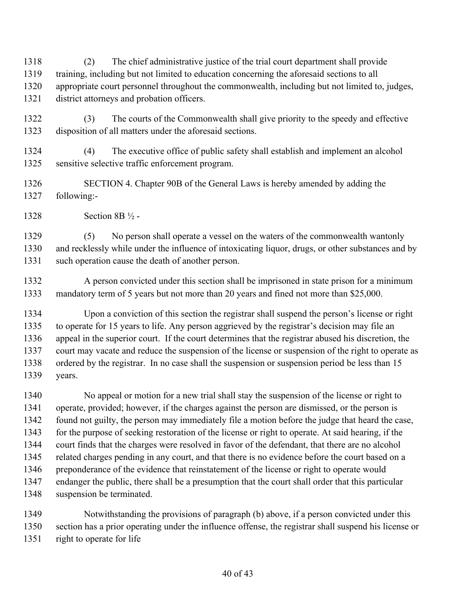(2) The chief administrative justice of the trial court department shall provide training, including but not limited to education concerning the aforesaid sections to all appropriate court personnel throughout the commonwealth, including but not limited to, judges, district attorneys and probation officers.

- (3) The courts of the Commonwealth shall give priority to the speedy and effective disposition of all matters under the aforesaid sections.
- (4) The executive office of public safety shall establish and implement an alcohol sensitive selective traffic enforcement program.
- SECTION 4. Chapter 90B of the General Laws is hereby amended by adding the following:-
- Section 8B ½ -

 (5) No person shall operate a vessel on the waters of the commonwealth wantonly and recklessly while under the influence of intoxicating liquor, drugs, or other substances and by such operation cause the death of another person.

1332 A person convicted under this section shall be imprisoned in state prison for a minimum mandatory term of 5 years but not more than 20 years and fined not more than \$25,000.

 Upon a conviction of this section the registrar shall suspend the person's license or right to operate for 15 years to life. Any person aggrieved by the registrar's decision may file an appeal in the superior court. If the court determines that the registrar abused his discretion, the court may vacate and reduce the suspension of the license or suspension of the right to operate as ordered by the registrar. In no case shall the suspension or suspension period be less than 15 years.

 No appeal or motion for a new trial shall stay the suspension of the license or right to operate, provided; however, if the charges against the person are dismissed, or the person is found not guilty, the person may immediately file a motion before the judge that heard the case, for the purpose of seeking restoration of the license or right to operate. At said hearing, if the court finds that the charges were resolved in favor of the defendant, that there are no alcohol related charges pending in any court, and that there is no evidence before the court based on a preponderance of the evidence that reinstatement of the license or right to operate would endanger the public, there shall be a presumption that the court shall order that this particular suspension be terminated.

 Notwithstanding the provisions of paragraph (b) above, if a person convicted under this section has a prior operating under the influence offense, the registrar shall suspend his license or right to operate for life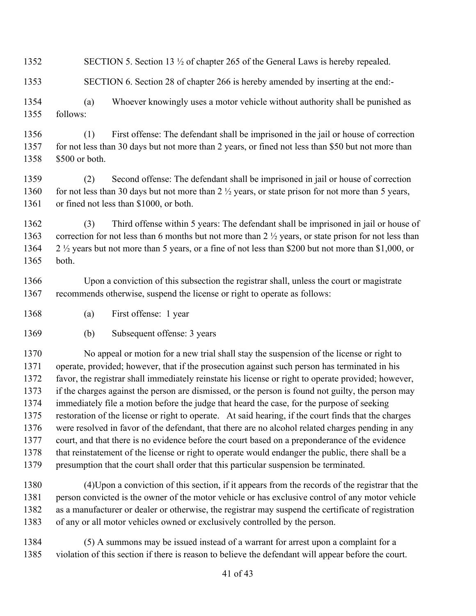- 1352 SECTION 5. Section 13 <sup>1</sup>/<sub>2</sub> of chapter 265 of the General Laws is hereby repealed.
- SECTION 6. Section 28 of chapter 266 is hereby amended by inserting at the end:-
- (a) Whoever knowingly uses a motor vehicle without authority shall be punished as follows:
- (1) First offense: The defendant shall be imprisoned in the jail or house of correction 1357 for not less than 30 days but not more than 2 years, or fined not less than \$50 but not more than \$500 or both.
- (2) Second offense: The defendant shall be imprisoned in jail or house of correction 1360 for not less than 30 days but not more than 2  $\frac{1}{2}$  years, or state prison for not more than 5 years, 1361 or fined not less than \$1000, or both.
- (3) Third offense within 5 years: The defendant shall be imprisoned in jail or house of 1363 correction for not less than 6 months but not more than 2  $\frac{1}{2}$  years, or state prison for not less than 2 ½ years but not more than 5 years, or a fine of not less than \$200 but not more than \$1,000, or both.
- Upon a conviction of this subsection the registrar shall, unless the court or magistrate recommends otherwise, suspend the license or right to operate as follows:
- (a) First offense: 1 year
- (b) Subsequent offense: 3 years

 No appeal or motion for a new trial shall stay the suspension of the license or right to operate, provided; however, that if the prosecution against such person has terminated in his favor, the registrar shall immediately reinstate his license or right to operate provided; however, if the charges against the person are dismissed, or the person is found not guilty, the person may immediately file a motion before the judge that heard the case, for the purpose of seeking restoration of the license or right to operate. At said hearing, if the court finds that the charges were resolved in favor of the defendant, that there are no alcohol related charges pending in any court, and that there is no evidence before the court based on a preponderance of the evidence that reinstatement of the license or right to operate would endanger the public, there shall be a presumption that the court shall order that this particular suspension be terminated.

- (4)Upon a conviction of this section, if it appears from the records of the registrar that the person convicted is the owner of the motor vehicle or has exclusive control of any motor vehicle as a manufacturer or dealer or otherwise, the registrar may suspend the certificate of registration of any or all motor vehicles owned or exclusively controlled by the person.
- (5) A summons may be issued instead of a warrant for arrest upon a complaint for a violation of this section if there is reason to believe the defendant will appear before the court.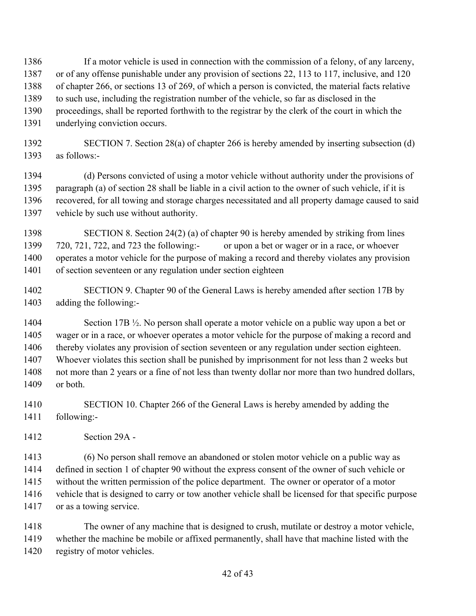- If a motor vehicle is used in connection with the commission of a felony, of any larceny, or of any offense punishable under any provision of sections 22, 113 to 117, inclusive, and 120 of chapter 266, or sections 13 of 269, of which a person is convicted, the material facts relative to such use, including the registration number of the vehicle, so far as disclosed in the proceedings, shall be reported forthwith to the registrar by the clerk of the court in which the underlying conviction occurs.
- SECTION 7. Section 28(a) of chapter 266 is hereby amended by inserting subsection (d) as follows:-

 (d) Persons convicted of using a motor vehicle without authority under the provisions of paragraph (a) of section 28 shall be liable in a civil action to the owner of such vehicle, if it is recovered, for all towing and storage charges necessitated and all property damage caused to said vehicle by such use without authority.

 SECTION 8. Section 24(2) (a) of chapter 90 is hereby amended by striking from lines 720, 721, 722, and 723 the following:- or upon a bet or wager or in a race, or whoever operates a motor vehicle for the purpose of making a record and thereby violates any provision of section seventeen or any regulation under section eighteen

 SECTION 9. Chapter 90 of the General Laws is hereby amended after section 17B by adding the following:-

 Section 17B ½. No person shall operate a motor vehicle on a public way upon a bet or wager or in a race, or whoever operates a motor vehicle for the purpose of making a record and thereby violates any provision of section seventeen or any regulation under section eighteen. Whoever violates this section shall be punished by imprisonment for not less than 2 weeks but not more than 2 years or a fine of not less than twenty dollar nor more than two hundred dollars, or both.

- SECTION 10. Chapter 266 of the General Laws is hereby amended by adding the following:-
- Section 29A -

 (6) No person shall remove an abandoned or stolen motor vehicle on a public way as defined in section 1 of chapter 90 without the express consent of the owner of such vehicle or without the written permission of the police department. The owner or operator of a motor vehicle that is designed to carry or tow another vehicle shall be licensed for that specific purpose 1417 or as a towing service.

 The owner of any machine that is designed to crush, mutilate or destroy a motor vehicle, whether the machine be mobile or affixed permanently, shall have that machine listed with the registry of motor vehicles.